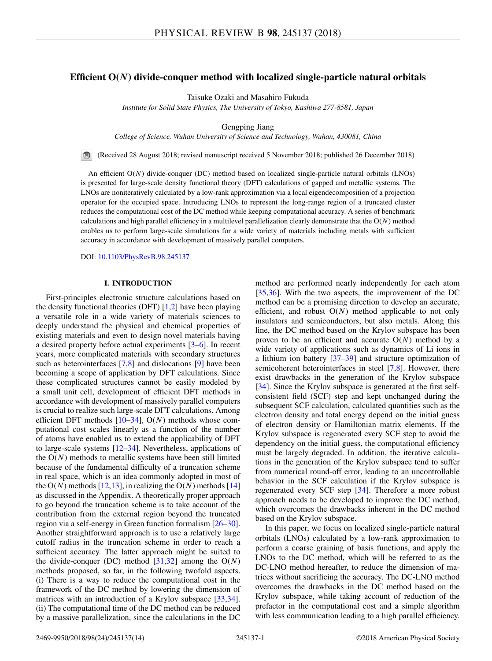# **Efficient O(***N***) divide-conquer method with localized single-particle natural orbitals**

Taisuke Ozaki and Masahiro Fukuda

*Institute for Solid State Physics, The University of Tokyo, Kashiwa 277-8581, Japan*

Gengping Jiang

*College of Science, Wuhan University of Science and Technology, Wuhan, 430081, China*

(Received 28 August 2018; revised manuscript received 5 November 2018; published 26 December 2018)

An efficient O(*N*) divide-conquer (DC) method based on localized single-particle natural orbitals (LNOs) is presented for large-scale density functional theory (DFT) calculations of gapped and metallic systems. The LNOs are noniteratively calculated by a low-rank approximation via a local eigendecomposition of a projection operator for the occupied space. Introducing LNOs to represent the long-range region of a truncated cluster reduces the computational cost of the DC method while keeping computational accuracy. A series of benchmark calculations and high parallel efficiency in a multilevel parallelization clearly demonstrate that the O(*N*) method enables us to perform large-scale simulations for a wide variety of materials including metals with sufficient accuracy in accordance with development of massively parallel computers.

DOI: [10.1103/PhysRevB.98.245137](https://doi.org/10.1103/PhysRevB.98.245137)

### **I. INTRODUCTION**

First-principles electronic structure calculations based on the density functional theories (DFT)  $[1,2]$  have been playing a versatile role in a wide variety of materials sciences to deeply understand the physical and chemical properties of existing materials and even to design novel materials having a desired property before actual experiments [\[3–6\]](#page-11-0). In recent years, more complicated materials with secondary structures such as heterointerfaces [\[7,8\]](#page-11-0) and dislocations [\[9\]](#page-11-0) have been becoming a scope of application by DFT calculations. Since these complicated structures cannot be easily modeled by a small unit cell, development of efficient DFT methods in accordance with development of massively parallel computers is crucial to realize such large-scale DFT calculations. Among efficient DFT methods [\[10](#page-11-0)[–34\]](#page-12-0), O(*N*) methods whose computational cost scales linearly as a function of the number of atoms have enabled us to extend the applicability of DFT to large-scale systems [\[12–](#page-11-0)[34\]](#page-12-0). Nevertheless, applications of the  $O(N)$  methods to metallic systems have been still limited because of the fundamental difficulty of a truncation scheme in real space, which is an idea commonly adopted in most of the  $O(N)$  methods [\[12,13\]](#page-11-0), in realizing the  $O(N)$  methods [\[14\]](#page-11-0) as discussed in the Appendix. A theoretically proper approach to go beyond the truncation scheme is to take account of the contribution from the external region beyond the truncated region via a self-energy in Green function formalism [\[26–30\]](#page-12-0). Another straightforward approach is to use a relatively large cutoff radius in the truncation scheme in order to reach a sufficient accuracy. The latter approach might be suited to the divide-conquer (DC) method  $\lceil 31,32 \rceil$  among the  $O(N)$ methods proposed, so far, in the following twofold aspects. (i) There is a way to reduce the computational cost in the framework of the DC method by lowering the dimension of matrices with an introduction of a Krylov subspace [\[33,34\]](#page-12-0). (ii) The computational time of the DC method can be reduced by a massive parallelization, since the calculations in the DC

method are performed nearly independently for each atom [\[35,36\]](#page-12-0). With the two aspects, the improvement of the DC method can be a promising direction to develop an accurate, efficient, and robust  $O(N)$  method applicable to not only insulators and semiconductors, but also metals. Along this line, the DC method based on the Krylov subspace has been proven to be an efficient and accurate  $O(N)$  method by a wide variety of applications such as dynamics of Li ions in a lithium ion battery [\[37–39\]](#page-12-0) and structure optimization of semicoherent heterointerfaces in steel [\[7,8\]](#page-11-0). However, there exist drawbacks in the generation of the Krylov subspace [\[34\]](#page-12-0). Since the Krylov subspace is generated at the first selfconsistent field (SCF) step and kept unchanged during the subsequent SCF calculation, calculated quantities such as the electron density and total energy depend on the initial guess of electron density or Hamiltonian matrix elements. If the Krylov subspace is regenerated every SCF step to avoid the dependency on the initial guess, the computational efficiency must be largely degraded. In addition, the iterative calculations in the generation of the Krylov subspace tend to suffer from numerical round-off error, leading to an uncontrollable behavior in the SCF calculation if the Krylov subspace is regenerated every SCF step [\[34\]](#page-12-0). Therefore a more robust approach needs to be developed to improve the DC method, which overcomes the drawbacks inherent in the DC method based on the Krylov subspace.

In this paper, we focus on localized single-particle natural orbitals (LNOs) calculated by a low-rank approximation to perform a coarse graining of basis functions, and apply the LNOs to the DC method, which will be referred to as the DC-LNO method hereafter, to reduce the dimension of matrices without sacrificing the accuracy. The DC-LNO method overcomes the drawbacks in the DC method based on the Krylov subspace, while taking account of reduction of the prefactor in the computational cost and a simple algorithm with less communication leading to a high parallel efficiency.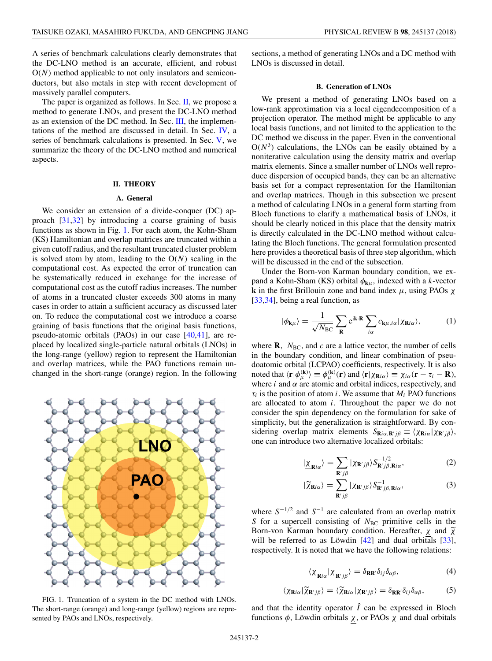<span id="page-1-0"></span>A series of benchmark calculations clearly demonstrates that the DC-LNO method is an accurate, efficient, and robust O(*N*) method applicable to not only insulators and semiconductors, but also metals in step with recent development of massively parallel computers.

The paper is organized as follows. In Sec. II, we propose a method to generate LNOs, and present the DC-LNO method as an extension of the DC method. In Sec. [III,](#page-4-0) the implementations of the method are discussed in detail. In Sec. [IV,](#page-4-0) a series of benchmark calculations is presented. In Sec. [V,](#page-9-0) we summarize the theory of the DC-LNO method and numerical aspects.

#### **II. THEORY**

### **A. General**

We consider an extension of a divide-conquer (DC) approach [\[31,32\]](#page-12-0) by introducing a coarse graining of basis functions as shown in Fig. 1. For each atom, the Kohn-Sham (KS) Hamiltonian and overlap matrices are truncated within a given cutoff radius, and the resultant truncated cluster problem is solved atom by atom, leading to the  $O(N)$  scaling in the computational cost. As expected the error of truncation can be systematically reduced in exchange for the increase of computational cost as the cutoff radius increases. The number of atoms in a truncated cluster exceeds 300 atoms in many cases in order to attain a sufficient accuracy as discussed later on. To reduce the computational cost we introduce a coarse graining of basis functions that the original basis functions, pseudo-atomic orbitals (PAOs) in our case [\[40,41\]](#page-12-0), are replaced by localized single-particle natural orbitals (LNOs) in the long-range (yellow) region to represent the Hamiltonian and overlap matrices, while the PAO functions remain unchanged in the short-range (orange) region. In the following



FIG. 1. Truncation of a system in the DC method with LNOs. The short-range (orange) and long-range (yellow) regions are represented by PAOs and LNOs, respectively.

sections, a method of generating LNOs and a DC method with LNOs is discussed in detail.

## **B. Generation of LNOs**

We present a method of generating LNOs based on a low-rank approximation via a local eigendecomposition of a projection operator. The method might be applicable to any local basis functions, and not limited to the application to the DC method we discuss in the paper. Even in the conventional  $O(N^3)$  calculations, the LNOs can be easily obtained by a noniterative calculation using the density matrix and overlap matrix elements. Since a smaller number of LNOs well reproduce dispersion of occupied bands, they can be an alternative basis set for a compact representation for the Hamiltonian and overlap matrices. Though in this subsection we present a method of calculating LNOs in a general form starting from Bloch functions to clarify a mathematical basis of LNOs, it should be clearly noticed in this place that the density matrix is directly calculated in the DC-LNO method without calculating the Bloch functions. The general formulation presented here provides a theoretical basis of three step algorithm, which will be discussed in the end of the subsection.

Under the Born-von Karman boundary condition, we expand a Kohn-Sham (KS) orbital  $\phi_{\mathbf{k}\mu}$ , indexed with a *k*-vector **k** in the first Brillouin zone and band index *μ*, using PAOs *χ* [\[33,34\]](#page-12-0), being a real function, as

$$
|\phi_{\mathbf{k}\mu}\rangle = \frac{1}{\sqrt{N_{\rm BC}}} \sum_{\mathbf{R}} e^{i\mathbf{k}\cdot\mathbf{R}} \sum_{i\alpha} c_{\mathbf{k}\mu, i\alpha} |\chi_{\mathbf{R}i\alpha}\rangle, \tag{1}
$$

where  $\mathbf{R}$ *,*  $N_{\text{BC}}$ *,* and *c* are a lattice vector, the number of cells in the boundary condition, and linear combination of pseudoatomic orbital (LCPAO) coefficients, respectively. It is also noted that  $\langle \mathbf{r} | \phi_{\mu}^{(\mathbf{k})} \rangle \equiv \phi_{\mu}^{(\mathbf{k})}(\mathbf{r})$  and  $\langle \mathbf{r} | \chi_{\mathbf{R} i\alpha} \rangle \equiv \chi_{i\alpha}(\mathbf{r} - \tau_i - \mathbf{R}),$ where  $i$  and  $\alpha$  are atomic and orbital indices, respectively, and  $\tau_i$  is the position of atom *i*. We assume that  $M_i$  PAO functions are allocated to atom *i*. Throughout the paper we do not consider the spin dependency on the formulation for sake of simplicity, but the generalization is straightforward. By considering overlap matrix elements  $S_{\mathbf{R}i\alpha,\mathbf{R}'j\beta} \equiv \langle \chi_{\mathbf{R}i\alpha} | \chi_{\mathbf{R}'j\beta} \rangle$ , one can introduce two alternative localized orbitals:

$$
|\underline{\chi}_{\mathbf{R}i\alpha}\rangle = \sum_{\mathbf{R}'j\beta} |\chi_{\mathbf{R}'j\beta}\rangle S_{\mathbf{R}'j\beta,\mathbf{R}i\alpha}^{-1/2},
$$
 (2)

$$
|\widetilde{\chi}_{\mathbf{R}i\alpha}\rangle = \sum_{\mathbf{R}'j\beta}^{\cdots} |\chi_{\mathbf{R}'j\beta}\rangle S_{\mathbf{R}'j\beta,\mathbf{R}i\alpha}^{-1},\tag{3}
$$

where  $S^{-1/2}$  and  $S^{-1}$  are calculated from an overlap matrix *S* for a supercell consisting of *N*<sub>BC</sub> primitive cells in the Born-von Karman boundary condition. Hereafter, *<sup>χ</sup>* and *<sup>χ</sup>* will be referred to as Löwdin [\[42\]](#page-12-0) and dual orbitals [\[33\]](#page-12-0), respectively. It is noted that we have the following relations:

$$
\langle \underline{\chi}_{\mathbf{R}i\alpha} | \underline{\chi}_{\mathbf{R}'j\beta} \rangle = \delta_{\mathbf{R}\mathbf{R}'} \delta_{ij} \delta_{\alpha\beta},\tag{4}
$$

$$
\langle \chi_{\mathbf{R}i\alpha} | \widetilde{\chi}_{\mathbf{R}'j\beta} \rangle = \langle \widetilde{\chi}_{\mathbf{R}i\alpha} | \chi_{\mathbf{R}'j\beta} \rangle = \delta_{\mathbf{R}\mathbf{R}'} \delta_{ij} \delta_{\alpha\beta}, \tag{5}
$$

and that the identity operator  $\hat{I}$  can be expressed in Bloch functions *φ*, Löwdin orbitals *χ*, or PAOs *χ* and dual orbitals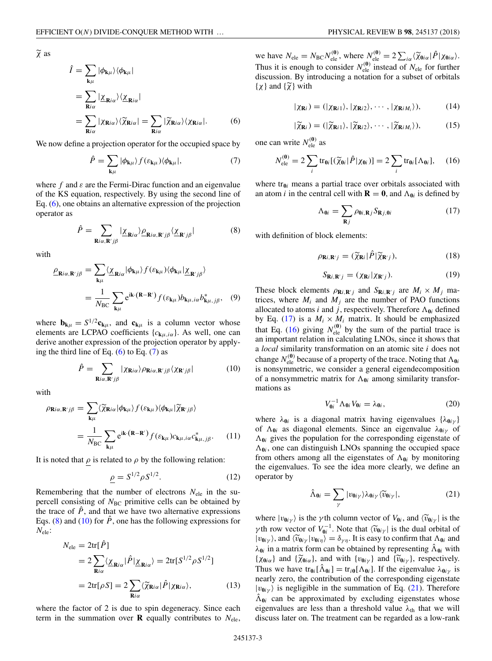<span id="page-2-0"></span>*<sup>χ</sup>* as

$$
\hat{I} = \sum_{\mathbf{k}\mu} |\phi_{\mathbf{k}\mu}\rangle \langle \phi_{\mathbf{k}\mu}|
$$
\n
$$
= \sum_{\mathbf{R}i\alpha} |\underline{\chi}_{\mathbf{R}i\alpha}\rangle \langle \underline{\chi}_{\mathbf{R}i\alpha}|
$$
\n
$$
= \sum_{\mathbf{R}i\alpha} |\chi_{\mathbf{R}i\alpha}\rangle \langle \widetilde{\chi}_{\mathbf{R}i\alpha}| = \sum_{\mathbf{R}i\alpha} |\widetilde{\chi}_{\mathbf{R}i\alpha}\rangle \langle \chi_{\mathbf{R}i\alpha}|.
$$
\n(6)

We now define a projection operator for the occupied space by

$$
\hat{P} = \sum_{\mathbf{k}\mu} |\phi_{\mathbf{k}\mu}\rangle f(\varepsilon_{\mathbf{k}\mu}) \langle \phi_{\mathbf{k}\mu}|, \tag{7}
$$

where  $f$  and  $\varepsilon$  are the Fermi-Dirac function and an eigenvalue of the KS equation, respectively. By using the second line of Eq. (6), one obtains an alternative expression of the projection operator as

$$
\hat{P} = \sum_{\mathbf{R}i\alpha,\mathbf{R}'j\beta} |\underline{\chi}_{\mathbf{R}i\alpha}\rangle \underline{\rho}_{\mathbf{R}i\alpha,\mathbf{R}'j\beta} \langle \underline{\chi}_{\mathbf{R}'j\beta}|
$$
(8)

with

$$
\rho_{\mathbf{R}i\alpha,\mathbf{R}'j\beta} = \sum_{\mathbf{k}\mu} \langle \underline{\chi}_{\mathbf{R}i\alpha} | \phi_{\mathbf{k}\mu} \rangle f(\varepsilon_{\mathbf{k}\mu}) \langle \phi_{\mathbf{k}\mu} | \underline{\chi}_{\mathbf{R}'j\beta} \rangle
$$
  
= 
$$
\frac{1}{N_{\text{BC}}} \sum_{\mathbf{k}\mu} e^{i\mathbf{k} \cdot (\mathbf{R} - \mathbf{R}')} f(\varepsilon_{\mathbf{k}\mu}) b_{\mathbf{k}\mu, i\alpha} b_{\mathbf{k}\mu, j\beta}^{*}, \quad (9)
$$

where  $\mathbf{b}_{\mathbf{k}\mu} = S^{1/2} \mathbf{c}_{\mathbf{k}\mu}$ , and  $\mathbf{c}_{\mathbf{k}\mu}$  is a column vector whose elements are LCPAO coefficients  ${c_{\mathbf{k}\mu,i\alpha}}$ . As well, one can derive another expression of the projection operator by applying the third line of Eq.  $(6)$  to Eq.  $(7)$  as

$$
\hat{P} = \sum_{\mathbf{R}i\alpha,\mathbf{R}'j\beta} |\chi_{\mathbf{R}i\alpha}\rangle \rho_{\mathbf{R}i\alpha,\mathbf{R}'j\beta} \langle \chi_{\mathbf{R}'j\beta} | \tag{10}
$$

with

$$
\rho_{\mathbf{R}i\alpha,\mathbf{R}'j\beta} = \sum_{\mathbf{k}\mu} \langle \widetilde{\chi}_{\mathbf{R}i\alpha} | \phi_{\mathbf{k}\mu} \rangle f(\varepsilon_{\mathbf{k}\mu}) \langle \phi_{\mathbf{k}\mu} | \widetilde{\chi}_{\mathbf{R}'j\beta} \rangle
$$
  
= 
$$
\frac{1}{N_{\text{BC}}} \sum_{\mathbf{k}\mu} e^{i\mathbf{k} \cdot (\mathbf{R} - \mathbf{R}')} f(\varepsilon_{\mathbf{k}\mu}) c_{\mathbf{k}\mu, i\alpha} c_{\mathbf{k}\mu, j\beta}^{*}.
$$
 (11)

It is noted that  $\rho$  is related to  $\rho$  by the following relation:

$$
\rho = S^{1/2} \rho S^{1/2}.
$$
 (12)

Remembering that the number of electrons  $N_{\text{ele}}$  in the supercell consisting of  $N<sub>BC</sub>$  primitive cells can be obtained by the trace of  $\hat{P}$ , and that we have two alternative expressions Eqs. (8) and (10) for  $\hat{P}$ , one has the following expressions for *N*ele:

$$
N_{\text{ele}} = 2 \text{tr}[\hat{P}]
$$
  
=  $2 \sum_{\mathbf{R}i\alpha} \langle \underline{\chi}_{\mathbf{R}i\alpha} | \hat{P} | \underline{\chi}_{\mathbf{R}i\alpha} \rangle = 2 \text{tr}[S^{1/2} \rho S^{1/2}]$   
=  $2 \text{tr}[\rho S] = 2 \sum_{\mathbf{R}i\alpha} \langle \widetilde{\chi}_{\mathbf{R}i\alpha} | \hat{P} | \chi_{\mathbf{R}i\alpha} \rangle,$  (13)

where the factor of 2 is due to spin degeneracy. Since each term in the summation over **R** equally contributes to *N*ele,

we have  $N_{\text{ele}} = N_{\text{BC}} N_{\text{ele}}^{(0)}$ , where  $N_{\text{ele}}^{(0)} = 2 \sum_{i\alpha} \langle \tilde{\chi}_{0i\alpha} | \hat{P} | \chi_{0i\alpha} \rangle$ .<br>Thus it is approach to consider  $N_{\text{ele}}^{(0)}$  instead of N<sub>c</sub> for further Thus it is enough to consider  $N_{\text{ele}}^{(0)}$  instead of  $N_{\text{ele}}$  for further discussion. By introducing a notation for a subset of orbitals {*χ*} and {*χ*} with

$$
|\chi_{\mathbf{R}i}) = (|\chi_{\mathbf{R}i1}\rangle, |\chi_{\mathbf{R}i2}\rangle, \cdots, |\chi_{\mathbf{R}iM_i}\rangle), \tag{14}
$$

$$
|\widetilde{\chi}_{\mathbf{R}i}) = (|\widetilde{\chi}_{\mathbf{R}i1}\rangle, |\widetilde{\chi}_{\mathbf{R}i2}\rangle, \cdots, |\widetilde{\chi}_{\mathbf{R}iM_i}\rangle), \tag{15}
$$

one can write  $N_{\text{ele}}^{(0)}$  as

$$
N_{\text{ele}}^{(0)} = 2 \sum_{i} \text{tr}_{0i} \left[ (\widetilde{\chi}_{0i} | \hat{P} | \chi_{0i}) \right] = 2 \sum_{i} \text{tr}_{0i} [\Lambda_{0i}], \quad (16)
$$

where  $tr_{0i}$  means a partial trace over orbitals associated with an atom *i* in the central cell with  $\mathbf{R} = \mathbf{0}$ , and  $\Lambda_{0i}$  is defined by

$$
\Lambda_{0i} = \sum_{\mathbf{R}j} \rho_{0i,\mathbf{R}j} S_{\mathbf{R}j,0i} \tag{17}
$$

with definition of block elements:

$$
\rho_{\mathbf{R}i,\mathbf{R}'j} = (\widetilde{\chi}_{\mathbf{R}i}|\hat{P}|\widetilde{\chi}_{\mathbf{R}'j}),\tag{18}
$$

$$
S_{\mathbf{R}i,\mathbf{R}'j} = (\chi_{\mathbf{R}i} | \chi_{\mathbf{R}'j}). \tag{19}
$$

These block elements  $\rho_{\mathbf{R}i,\mathbf{R}'j}$  and  $S_{\mathbf{R}i,\mathbf{R}'j}$  are  $M_i \times M_j$  matrices, where  $M_i$  and  $M_j$  are the number of PAO functions allocated to atoms *i* and *j*, respectively. Therefore  $\Lambda_{0i}$  defined by Eq. (17) is a  $M_i \times M_i$  matrix. It should be emphasized that Eq. (16) giving  $N_{\text{ele}}^{(0)}$  by the sum of the partial trace is an important relation in calculating LNOs, since it shows that a *local* similarity transformation on an atomic site *i* does not change  $N_{\text{ele}}^{(0)}$  because of a property of the trace. Noting that  $\Lambda_{0i}$ is nonsymmetric, we consider a general eigendecomposition of a nonsymmetric matrix for  $\Lambda_{0i}$  among similarity transformations as

$$
V_{0i}^{-1} \Lambda_{0i} V_{0i} = \lambda_{0i}, \qquad (20)
$$

where  $\lambda_{0i}$  is a diagonal matrix having eigenvalues  $\{\lambda_{0i}\}$ of  $\Lambda_{0i}$  as diagonal elements. Since an eigenvalue  $\lambda_{0i\gamma}$  of  $\Lambda_{0i}$  gives the population for the corresponding eigenstate of  $\Lambda_{0i}$ , one can distinguish LNOs spanning the occupied space from others among all the eigenstates of  $\Lambda_{0i}$  by monitoring the eigenvalues. To see the idea more clearly, we define an operator by

$$
\hat{\Lambda}_{0i} = \sum_{\gamma} |v_{0i\gamma}\rangle \lambda_{0i\gamma} \langle \widetilde{v}_{0i\gamma} |, \tag{21}
$$

where  $|v_{0i\gamma}\rangle$  is the *γ* th column vector of  $V_{0i}$ , and  $\langle \tilde{v}_{0i\gamma} |$  is the *v*<sup>1</sup> column vector of  $V^{-1}$ . Note that  $\langle \tilde{v}_{0i} |$  is the dual orbital of *γ* th row vector of  $V_{0i}^{-1}$ . Note that  $\langle \tilde{v}_{0i\gamma} |$  is the dual orbital of  $|v_{0i}|$  and  $\langle \tilde{v}_{0i}| |v_{0i}| \rangle = \delta$ . It is easy to confirm that  $\Delta \phi$  and  $|v_{0i\gamma}\rangle$ , and  $\langle \tilde{v}_{0i\gamma} | v_{0i\eta} \rangle = \delta_{\gamma\eta}$ . It is easy to confirm that  $\Lambda_{0i}$  and  $\lambda_{0i}$  in a metrix form can be obtained by representing  $\hat{\lambda}_{\gamma}$  with  $\lambda_{0i}$  in a matrix form can be obtained by representing  $\hat{\Lambda}_{0i}$  with  $\{\chi_{0i\alpha}\}\$  and  $\{\widetilde{\chi}_{0i\alpha}\}\$ , and with  $\{v_{0i\gamma}\}\$  and  $\{\widetilde{v}_{0i\gamma}\}\$ , respectively. Thus we have  $\text{tr}_{0i}[\hat{\Lambda}_{0i}] = \text{tr}_{i0}[\Lambda_{0i}]$ . If the eigenvalue  $\lambda_{0i\gamma}$  is nearly zero, the contribution of the corresponding eigenstate  $|v_{0i\gamma}\rangle$  is negligible in the summation of Eq. (21). Therefore  $\hat{\Lambda}_{0i}$  can be approximated by excluding eigenstates whose eigenvalues are less than a threshold value  $\lambda_{th}$  that we will discuss later on. The treatment can be regarded as a low-rank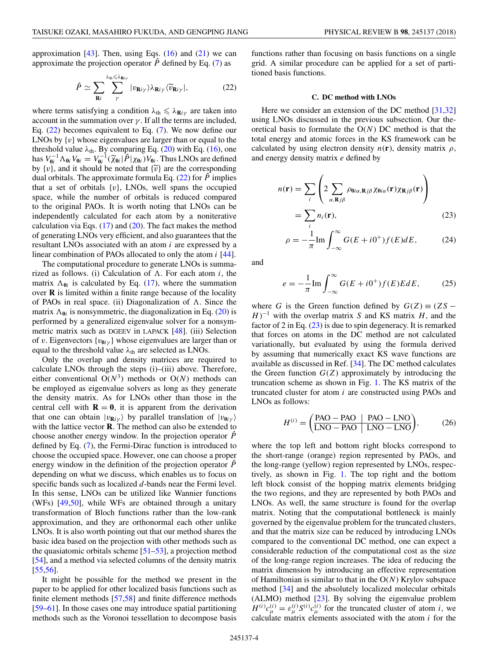<span id="page-3-0"></span>approximation  $[43]$ . Then, using Eqs.  $(16)$  and  $(21)$  we can approximate the projection operator  $\hat{P}$  defined by Eq. [\(7\)](#page-2-0) as

$$
\hat{P} \simeq \sum_{\mathbf{R}i} \sum_{\gamma}^{\lambda_{\text{th}} \leq \lambda_{\mathbf{R}i\gamma}} |v_{\mathbf{R}i\gamma}\rangle \lambda_{\mathbf{R}i\gamma} \langle \widetilde{v}_{\mathbf{R}i\gamma}|, \tag{22}
$$

where terms satisfying a condition  $\lambda_{th} \leq \lambda_{\mathbf{R}i\gamma}$  are taken into account in the summation over  $\gamma$ . If all the terms are included, Eq. (22) becomes equivalent to Eq. [\(7\)](#page-2-0). We now define our LNOs by  $\{v\}$  whose eigenvalues are larger than or equal to the threshold value  $\lambda_{th}$ . By comparing Eq. [\(20\)](#page-2-0) with Eq. [\(16\)](#page-2-0), one  $\mathbf{b}_{0i} \mathbf{V}_{0i}^{-1} \mathbf{\Lambda}_{0i} \mathbf{V}_{0i} = \mathbf{V}_{0i}^{-1} (\widetilde{\chi}_{0i} | \hat{P} | \chi_{0i}) \mathbf{V}_{0i}$ . Thus LNOs are defined<br> $\mathbf{b}_{0i} \mathbf{V}_{0i}$  and it should be noted that  $\widetilde{\mathbf{v}}_i$  are the corresponding by  ${v}$ , and it should be noted that  ${\tilde{v}}$  are the corresponding dual orbitals. The approximate formula Eq.  $(22)$  for  $\hat{P}$  implies that a set of orbitals  $\{v\}$ , LNOs, well spans the occupied space, while the number of orbitals is reduced compared to the original PAOs. It is worth noting that LNOs can be independently calculated for each atom by a noniterative calculation via Eqs.  $(17)$  and  $(20)$ . The fact makes the method of generating LNOs very efficient, and also guarantees that the resultant LNOs associated with an atom *i* are expressed by a linear combination of PAOs allocated to only the atom *i* [\[44\]](#page-12-0).

The computational procedure to generate LNOs is summarized as follows. (i) Calculation of  $\Lambda$ . For each atom *i*, the matrix  $\Lambda_{0i}$  is calculated by Eq. [\(17\)](#page-2-0), where the summation over **R** is limited within a finite range because of the locality of PAOs in real space. (ii) Diagonalization of  $\Lambda$ . Since the matrix  $\Lambda_{0i}$  is nonsymmetric, the diagonalization in Eq. [\(20\)](#page-2-0) is performed by a generalized eigenvalue solver for a nonsymmetric matrix such as DGEEV in LAPACK [\[48\]](#page-12-0). (iii) Selection of *v*. Eigenvectors  $\{v_{0i\gamma}\}\$  whose eigenvalues are larger than or equal to the threshold value *λ*th are selected as LNOs.

Only the overlap and density matrices are required to calculate LNOs through the steps (i)–(iii) above. Therefore, either conventional  $O(N^3)$  methods or  $O(N)$  methods can be employed as eigenvalue solvers as long as they generate the density matrix. As for LNOs other than those in the central cell with  $\mathbf{R} = \mathbf{0}$ , it is apparent from the derivation that one can obtain  $|v_{\mathbf{R}i\gamma}\rangle$  by parallel translation of  $|v_{\mathbf{0}i\gamma}\rangle$ with the lattice vector **R**. The method can also be extended to choose another energy window. In the projection operator  $\hat{P}$ defined by Eq. [\(7\)](#page-2-0), the Fermi-Dirac function is introduced to choose the occupied space. However, one can choose a proper energy window in the definition of the projection operator  $\hat{P}$ depending on what we discuss, which enables us to focus on specific bands such as localized *d*-bands near the Fermi level. In this sense, LNOs can be utilized like Wannier functions (WFs) [\[49,50\]](#page-12-0), while WFs are obtained through a unitary transformation of Bloch functions rather than the low-rank approximation, and they are orthonormal each other unlike LNOs. It is also worth pointing out that our method shares the basic idea based on the projection with other methods such as the quasiatomic orbitals scheme [\[51–53\]](#page-12-0), a projection method [\[54\]](#page-12-0), and a method via selected columns of the density matrix [\[55,56\]](#page-12-0).

It might be possible for the method we present in the paper to be applied for other localized basis functions such as finite element methods [\[57,58\]](#page-12-0) and finite difference methods [\[59–61\]](#page-12-0). In those cases one may introduce spatial partitioning methods such as the Voronoi tessellation to decompose basis functions rather than focusing on basis functions on a single grid. A similar procedure can be applied for a set of partitioned basis functions.

## **C. DC method with LNOs**

Here we consider an extension of the DC method [\[31,32\]](#page-12-0) using LNOs discussed in the previous subsection. Our theoretical basis to formulate the O(*N*) DC method is that the total energy and atomic forces in the KS framework can be calculated by using electron density  $n(r)$ , density matrix  $\rho$ , and energy density matrix *e* defined by

$$
n(\mathbf{r}) = \sum_{i} \left( 2 \sum_{\alpha, \mathbf{R} \neq \beta} \rho_{0i\alpha, \mathbf{R}j\beta} \chi_{0i\alpha}(\mathbf{r}) \chi_{\mathbf{R}j\beta}(\mathbf{r}) \right)
$$
  
= 
$$
\sum_{i} n_i(\mathbf{r}),
$$
 (23)

$$
\rho = -\frac{1}{\pi} \text{Im} \int_{-\infty}^{\infty} G(E + i0^{+}) f(E) dE, \qquad (24)
$$

and

$$
e = -\frac{1}{\pi} \text{Im} \int_{-\infty}^{\infty} G(E + i0^{+}) f(E) E dE, \tag{25}
$$

where *G* is the Green function defined by  $G(Z) \equiv (ZS H$ )<sup>-1</sup> with the overlap matrix *S* and KS matrix *H*, and the factor of 2 in Eq. (23) is due to spin degeneracy. It is remarked that forces on atoms in the DC method are not calculated variationally, but evaluated by using the formula derived by assuming that numerically exact KS wave functions are available as discussed in Ref. [\[34\]](#page-12-0). The DC method calculates the Green function  $G(Z)$  approximately by introducing the truncation scheme as shown in Fig. [1.](#page-1-0) The KS matrix of the truncated cluster for atom *i* are constructed using PAOs and LNOs as follows:

$$
H^{(i)} = \left(\frac{\text{PAO} - \text{PAO}}{\text{LNO} - \text{PAO}} \middle| \frac{\text{PAO} - \text{LNO}}{\text{LNO} - \text{LNO}}\right),\tag{26}
$$

where the top left and bottom right blocks correspond to the short-range (orange) region represented by PAOs, and the long-range (yellow) region represented by LNOs, respectively, as shown in Fig. [1.](#page-1-0) The top right and the bottom left block consist of the hopping matrix elements bridging the two regions, and they are represented by both PAOs and LNOs. As well, the same structure is found for the overlap matrix. Noting that the computational bottleneck is mainly governed by the eigenvalue problem for the truncated clusters, and that the matrix size can be reduced by introducing LNOs compared to the conventional DC method, one can expect a considerable reduction of the computational cost as the size of the long-range region increases. The idea of reducing the matrix dimension by introducing an effective representation of Hamiltonian is similar to that in the O(*N*) Krylov subspace method [\[34\]](#page-12-0) and the absolutely localized molecular orbitals (ALMO) method [\[23\]](#page-11-0). By solving the eigenvalue problem  $H^{(i)}c_{\mu}^{(i)} = \varepsilon_{\mu}^{(i)}S^{(i)}c_{\mu}^{(i)}$  for the truncated cluster of atom *i*, we calculate matrix elements associated with the atom *i* for the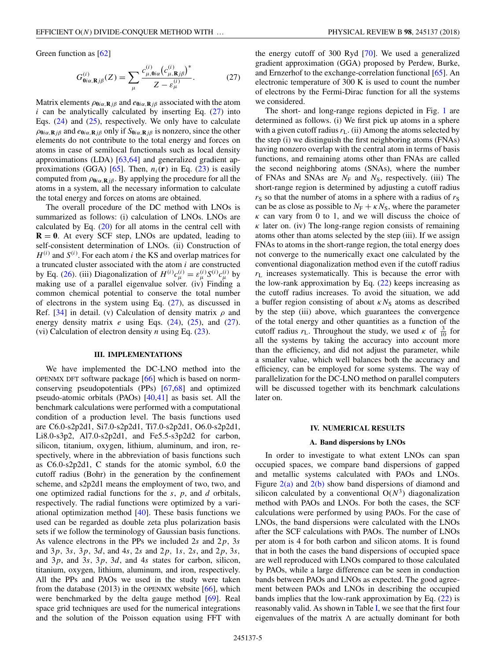<span id="page-4-0"></span>Green function as [\[62\]](#page-12-0)

$$
G_{0i\alpha,\mathbf{R}j\beta}^{(i)}(Z) = \sum_{\mu} \frac{c_{\mu,0i\alpha}^{(i)} \left(c_{\mu,\mathbf{R}j\beta}^{(i)}\right)^{*}}{Z - \varepsilon_{\mu}^{(i)}}.
$$
 (27)

Matrix elements  $\rho_{0i\alpha, Rj\beta}$  and  $e_{0i\alpha, Rj\beta}$  associated with the atom  $i$  can be analytically calculated by inserting Eq.  $(27)$  into Eqs. [\(24\)](#page-3-0) and [\(25\)](#page-3-0), respectively. We only have to calculate  $\rho_{0i\alpha, R j\beta}$  and  $e_{0i\alpha, R j\beta}$  only if  $S_{0i\alpha, R j\beta}$  is nonzero, since the other elements do not contribute to the total energy and forces on atoms in case of semilocal functionals such as local density approximations (LDA) [\[63,64\]](#page-12-0) and generalized gradient approximations (GGA)  $[65]$ . Then,  $n_i(\mathbf{r})$  in Eq. [\(23\)](#page-3-0) is easily computed from  $\rho_{0i\alpha, \mathbf{R}j\beta}$ . By applying the procedure for all the atoms in a system, all the necessary information to calculate the total energy and forces on atoms are obtained.

The overall procedure of the DC method with LNOs is summarized as follows: (i) calculation of LNOs. LNOs are calculated by Eq.  $(20)$  for all atoms in the central cell with  $R = 0$ . At every SCF step, LNOs are updated, leading to self-consistent determination of LNOs. (ii) Construction of  $H^{(i)}$  and  $S^{(i)}$ . For each atom *i* the KS and overlap matrices for a truncated cluster associated with the atom *i* are constructed by Eq. [\(26\)](#page-3-0). (iii) Diagonalization of  $H^{(i)}c_{\mu}^{(i)} = \varepsilon_{\mu}^{(i)}S^{(i)}c_{\mu}^{(i)}$  by making use of a parallel eigenvalue solver. (iv) Finding a common chemical potential to conserve the total number of electrons in the system using Eq. (27), as discussed in Ref. [\[34\]](#page-12-0) in detail. (v) Calculation of density matrix *ρ* and energy density matrix *e* using Eqs. [\(24\)](#page-3-0), [\(25\)](#page-3-0), and (27). (vi) Calculation of electron density *n* using Eq. [\(23\)](#page-3-0).

## **III. IMPLEMENTATIONS**

We have implemented the DC-LNO method into the OPENMX DFT software package [\[66\]](#page-12-0) which is based on normconserving pseudopotentials (PPs) [\[67,68\]](#page-12-0) and optimized pseudo-atomic orbitals (PAOs) [\[40,41\]](#page-12-0) as basis set. All the benchmark calculations were performed with a computational condition of a production level. The basis functions used are C6.0-s2p2d1, Si7.0-s2p2d1, Ti7.0-s2p2d1, O6.0-s2p2d1, Li8.0-s3p2, Al7.0-s2p2d1, and Fe5.5-s3p2d2 for carbon, silicon, titanium, oxygen, lithium, aluminum, and iron, respectively, where in the abbreviation of basis functions such as C6.0-s2p2d1, C stands for the atomic symbol, 6.0 the cutoff radius (Bohr) in the generation by the confinement scheme, and s2p2d1 means the employment of two, two, and one optimized radial functions for the *s*, *p*, and *d* orbitals, respectively. The radial functions were optimized by a variational optimization method  $[40]$ . These basis functions we used can be regarded as double zeta plus polarization basis sets if we follow the terminology of Gaussian basis functions. As valence electrons in the PPs we included 2*s* and 2*p,* 3*s* and 3*p,* 3*s,* 3*p,* 3*d*, and 4*s*, 2*s* and 2*p,* 1*s,* 2*s*, and 2*p*, 3*s,* and 3*p*, and 3*s,* 3*p,* 3*d*, and 4*s* states for carbon, silicon, titanium, oxygen, lithium, aluminum, and iron, respectively. All the PPs and PAOs we used in the study were taken from the database  $(2013)$  in the OPENMX website  $[66]$ , which were benchmarked by the delta gauge method [\[69\]](#page-12-0). Real space grid techniques are used for the numerical integrations and the solution of the Poisson equation using FFT with

the energy cutoff of 300 Ryd [\[70\]](#page-12-0). We used a generalized gradient approximation (GGA) proposed by Perdew, Burke, and Ernzerhof to the exchange-correlation functional [\[65\]](#page-12-0). An electronic temperature of 300 K is used to count the number of electrons by the Fermi-Dirac function for all the systems we considered.

The short- and long-range regions depicted in Fig. [1](#page-1-0) are determined as follows. (i) We first pick up atoms in a sphere with a given cutoff radius  $r<sub>L</sub>$ . (ii) Among the atoms selected by the step (i) we distinguish the first neighboring atoms (FNAs) having nonzero overlap with the central atom in terms of basis functions, and remaining atoms other than FNAs are called the second neighboring atoms (SNAs), where the number of FNAs and SNAs are  $N_F$  and  $N_S$ , respectively. (iii) The short-range region is determined by adjusting a cutoff radius  $r<sub>S</sub>$  so that the number of atoms in a sphere with a radius of  $r<sub>S</sub>$ can be as close as possible to  $N_F + \kappa N_S$ , where the parameter *κ* can vary from 0 to 1, and we will discuss the choice of  $\kappa$  later on. (iv) The long-range region consists of remaining atoms other than atoms selected by the step (iii). If we assign FNAs to atoms in the short-range region, the total energy does not converge to the numerically exact one calculated by the conventional diagonalization method even if the cutoff radius *r*<sup>L</sup> increases systematically. This is because the error with the low-rank approximation by Eq.  $(22)$  keeps increasing as the cutoff radius increases. To avoid the situation, we add a buffer region consisting of about  $\kappa N_S$  atoms as described by the step (iii) above, which guarantees the convergence of the total energy and other quantities as a function of the cutoff radius  $r_L$ . Throughout the study, we used  $\kappa$  of  $\frac{3}{10}$  for all the systems by taking the accuracy into account more than the efficiency, and did not adjust the parameter, while a smaller value, which well balances both the accuracy and efficiency, can be employed for some systems. The way of parallelization for the DC-LNO method on parallel computers will be discussed together with its benchmark calculations later on.

#### **IV. NUMERICAL RESULTS**

#### **A. Band dispersions by LNOs**

In order to investigate to what extent LNOs can span occupied spaces, we compare band dispersions of gapped and metallic systems calculated with PAOs and LNOs. Figure  $2(a)$  and  $2(b)$  show band dispersions of diamond and silicon calculated by a conventional  $O(N^3)$  diagonalization method with PAOs and LNOs. For both the cases, the SCF calculations were performed by using PAOs. For the case of LNOs, the band dispersions were calculated with the LNOs after the SCF calculations with PAOs. The number of LNOs per atom is 4 for both carbon and silicon atoms. It is found that in both the cases the band dispersions of occupied space are well reproduced with LNOs compared to those calculated by PAOs, while a large difference can be seen in conduction bands between PAOs and LNOs as expected. The good agreement between PAOs and LNOs in describing the occupied bands implies that the low-rank approximation by Eq.  $(22)$  is reasonably valid. As shown in Table [I,](#page-5-0) we see that the first four eigenvalues of the matrix  $\Lambda$  are actually dominant for both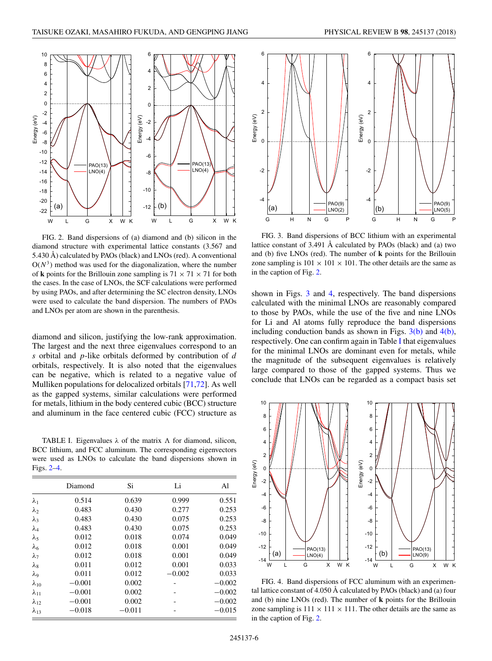<span id="page-5-0"></span>

FIG. 2. Band dispersions of (a) diamond and (b) silicon in the diamond structure with experimental lattice constants (3.567 and 5.430 Å) calculated by PAOs (black) and LNOs (red). A conventional  $O(N^3)$  method was used for the diagonalization, where the number of **k** points for the Brillouin zone sampling is  $71 \times 71 \times 71$  for both the cases. In the case of LNOs, the SCF calculations were performed by using PAOs, and after determining the SC electron density, LNOs were used to calculate the band dispersion. The numbers of PAOs and LNOs per atom are shown in the parenthesis.

diamond and silicon, justifying the low-rank approximation. The largest and the next three eigenvalues correspond to an *s* orbital and *p*-like orbitals deformed by contribution of *d* orbitals, respectively. It is also noted that the eigenvalues can be negative, which is related to a negative value of Mulliken populations for delocalized orbitals [\[71,72\]](#page-12-0). As well as the gapped systems, similar calculations were performed for metals, lithium in the body centered cubic (BCC) structure and aluminum in the face centered cubic (FCC) structure as

TABLE I. Eigenvalues  $\lambda$  of the matrix  $\Lambda$  for diamond, silicon, BCC lithium, and FCC aluminum. The corresponding eigenvectors were used as LNOs to calculate the band dispersions shown in Figs. 2–4.

|                | Diamond  | Si.      | Li       | Al       |
|----------------|----------|----------|----------|----------|
| $\lambda_1$    | 0.514    | 0.639    | 0.999    | 0.551    |
| $\lambda_2$    | 0.483    | 0.430    | 0.277    | 0.253    |
| $\lambda_3$    | 0.483    | 0.430    | 0.075    | 0.253    |
| $\lambda_4$    | 0.483    | 0.430    | 0.075    | 0.253    |
| $\lambda_5$    | 0.012    | 0.018    | 0.074    | 0.049    |
| $\lambda_6$    | 0.012    | 0.018    | 0.001    | 0.049    |
| $\lambda_7$    | 0.012    | 0.018    | 0.001    | 0.049    |
| $\lambda_8$    | 0.011    | 0.012    | 0.001    | 0.033    |
| $\lambda_{9}$  | 0.011    | 0.012    | $-0.002$ | 0.033    |
| $\lambda_{10}$ | $-0.001$ | 0.002    | -        | $-0.002$ |
| $\lambda_{11}$ | $-0.001$ | 0.002    |          | $-0.002$ |
| $\lambda_{12}$ | $-0.001$ | 0.002    |          | $-0.002$ |
| $\lambda_{13}$ | $-0.018$ | $-0.011$ |          | $-0.015$ |



FIG. 3. Band dispersions of BCC lithium with an experimental lattice constant of 3.491 Å calculated by PAOs (black) and (a) two and (b) five LNOs (red). The number of **k** points for the Brillouin zone sampling is  $101 \times 101 \times 101$ . The other details are the same as in the caption of Fig. 2.

shown in Figs. 3 and 4, respectively. The band dispersions calculated with the minimal LNOs are reasonably compared to those by PAOs, while the use of the five and nine LNOs for Li and Al atoms fully reproduce the band dispersions including conduction bands as shown in Figs.  $3(b)$  and  $4(b)$ , respectively. One can confirm again in Table I that eigenvalues for the minimal LNOs are dominant even for metals, while the magnitude of the subsequent eigenvalues is relatively large compared to those of the gapped systems. Thus we conclude that LNOs can be regarded as a compact basis set



FIG. 4. Band dispersions of FCC aluminum with an experimental lattice constant of 4.050 Å calculated by PAOs (black) and (a) four and (b) nine LNOs (red). The number of **k** points for the Brillouin zone sampling is  $111 \times 111 \times 111$ . The other details are the same as in the caption of Fig. 2.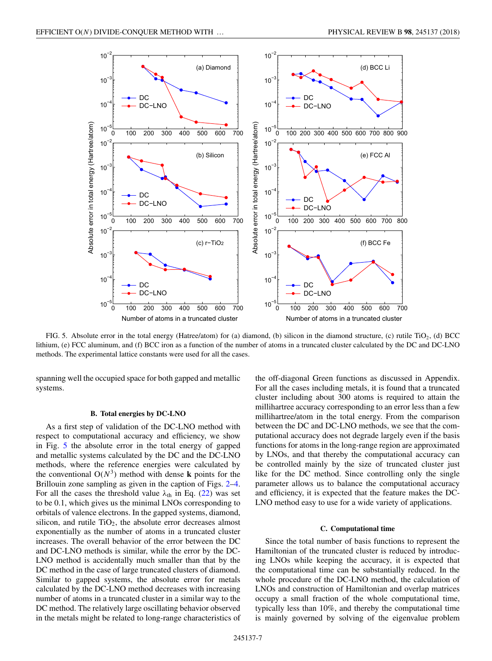<span id="page-6-0"></span>

FIG. 5. Absolute error in the total energy (Hatree/atom) for (a) diamond, (b) silicon in the diamond structure, (c) rutile TiO<sub>2</sub>, (d) BCC lithium, (e) FCC aluminum, and (f) BCC iron as a function of the number of atoms in a truncated cluster calculated by the DC and DC-LNO methods. The experimental lattice constants were used for all the cases.

spanning well the occupied space for both gapped and metallic systems.

### **B. Total energies by DC-LNO**

As a first step of validation of the DC-LNO method with respect to computational accuracy and efficiency, we show in Fig. 5 the absolute error in the total energy of gapped and metallic systems calculated by the DC and the DC-LNO methods, where the reference energies were calculated by the conventional  $O(N^3)$  method with dense **k** points for the Brillouin zone sampling as given in the caption of Figs. [2–4.](#page-5-0) For all the cases the threshold value  $\lambda_{th}$  in Eq. [\(22\)](#page-3-0) was set to be 0.1, which gives us the minimal LNOs corresponding to orbitals of valence electrons. In the gapped systems, diamond, silicon, and rutile  $TiO<sub>2</sub>$ , the absolute error decreases almost exponentially as the number of atoms in a truncated cluster increases. The overall behavior of the error between the DC and DC-LNO methods is similar, while the error by the DC-LNO method is accidentally much smaller than that by the DC method in the case of large truncated clusters of diamond. Similar to gapped systems, the absolute error for metals calculated by the DC-LNO method decreases with increasing number of atoms in a truncated cluster in a similar way to the DC method. The relatively large oscillating behavior observed in the metals might be related to long-range characteristics of

the off-diagonal Green functions as discussed in Appendix. For all the cases including metals, it is found that a truncated cluster including about 300 atoms is required to attain the millihartree accuracy corresponding to an error less than a few millihartree/atom in the total energy. From the comparison between the DC and DC-LNO methods, we see that the computational accuracy does not degrade largely even if the basis functions for atoms in the long-range region are approximated by LNOs, and that thereby the computational accuracy can be controlled mainly by the size of truncated cluster just like for the DC method. Since controlling only the single parameter allows us to balance the computational accuracy and efficiency, it is expected that the feature makes the DC-LNO method easy to use for a wide variety of applications.

### **C. Computational time**

Since the total number of basis functions to represent the Hamiltonian of the truncated cluster is reduced by introducing LNOs while keeping the accuracy, it is expected that the computational time can be substantially reduced. In the whole procedure of the DC-LNO method, the calculation of LNOs and construction of Hamiltonian and overlap matrices occupy a small fraction of the whole computational time, typically less than 10%, and thereby the computational time is mainly governed by solving of the eigenvalue problem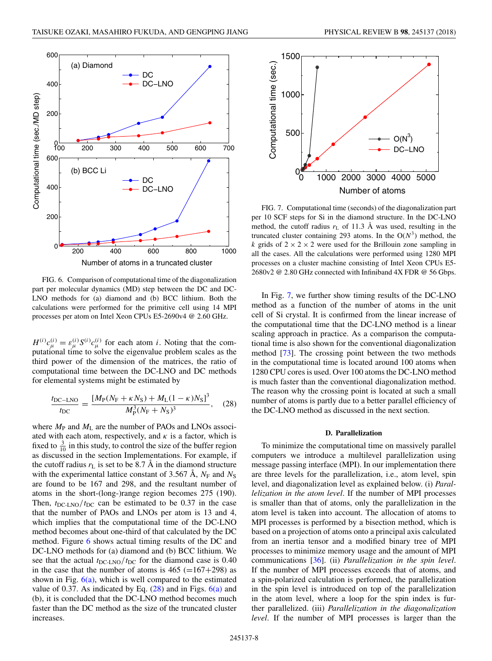<span id="page-7-0"></span>

FIG. 6. Comparison of computational time of the diagonalization part per molecular dynamics (MD) step between the DC and DC-LNO methods for (a) diamond and (b) BCC lithium. Both the calculations were performed for the primitive cell using 14 MPI processes per atom on Intel Xeon CPUs E5-2690v4 @ 2.60 GHz.

 $H^{(i)}c_{\mu}^{(i)} = \varepsilon_{\mu}^{(i)}S^{(i)}c_{\mu}^{(i)}$  for each atom *i*. Noting that the computational time to solve the eigenvalue problem scales as the third power of the dimension of the matrices, the ratio of computational time between the DC-LNO and DC methods for elemental systems might be estimated by

$$
\frac{t_{\rm DC-LNO}}{t_{\rm DC}} = \frac{[M_{\rm P}(N_{\rm F} + \kappa N_{\rm S}) + M_{\rm L}(1 - \kappa)N_{\rm S}]^3}{M_{\rm P}^3 (N_{\rm F} + N_{\rm S})^3},\quad(28)
$$

where  $M_P$  and  $M_L$  are the number of PAOs and LNOs associated with each atom, respectively, and  $\kappa$  is a factor, which is fixed to  $\frac{3}{10}$  in this study, to control the size of the buffer region as discussed in the section Implementations. For example, if the cutoff radius  $r<sub>L</sub>$  is set to be 8.7 Å in the diamond structure with the experimental lattice constant of 3.567 Å,  $N_F$  and  $N_S$ are found to be 167 and 298, and the resultant number of atoms in the short-(long-)range region becomes 275 (190). Then,  $t_{DC-LNO}/t_{DC}$  can be estimated to be 0.37 in the case that the number of PAOs and LNOs per atom is 13 and 4, which implies that the computational time of the DC-LNO method becomes about one-third of that calculated by the DC method. Figure 6 shows actual timing results of the DC and DC-LNO methods for (a) diamond and (b) BCC lithium. We see that the actual  $t_{\text{DC-LNO}}/t_{\text{DC}}$  for the diamond case is 0.40 in the case that the number of atoms is  $465 (=167+298)$  as shown in Fig.  $6(a)$ , which is well compared to the estimated value of 0.37. As indicated by Eq.  $(28)$  and in Figs.  $6(a)$  and (b), it is concluded that the DC-LNO method becomes much faster than the DC method as the size of the truncated cluster increases.



FIG. 7. Computational time (seconds) of the diagonalization part per 10 SCF steps for Si in the diamond structure. In the DC-LNO method, the cutoff radius  $r<sub>L</sub>$  of 11.3 Å was used, resulting in the truncated cluster containing 293 atoms. In the  $O(N^3)$  method, the *k* grids of  $2 \times 2 \times 2$  were used for the Brillouin zone sampling in all the cases. All the calculations were performed using 1280 MPI processes on a cluster machine consisting of Intel Xeon CPUs E5- 2680v2 @ 2.80 GHz connected with Infiniband 4X FDR @ 56 Gbps.

In Fig. 7, we further show timing results of the DC-LNO method as a function of the number of atoms in the unit cell of Si crystal. It is confirmed from the linear increase of the computational time that the DC-LNO method is a linear scaling approach in practice. As a comparison the computational time is also shown for the conventional diagonalization method [\[73\]](#page-12-0). The crossing point between the two methods in the computational time is located around 100 atoms when 1280 CPU cores is used. Over 100 atoms the DC-LNO method is much faster than the conventional diagonalization method. The reason why the crossing point is located at such a small number of atoms is partly due to a better parallel efficiency of the DC-LNO method as discussed in the next section.

### **D. Parallelization**

To minimize the computational time on massively parallel computers we introduce a multilevel parallelization using message passing interface (MPI). In our implementation there are three levels for the parallelization, i.e., atom level, spin level, and diagonalization level as explained below. (i) *Parallelization in the atom level*. If the number of MPI processes is smaller than that of atoms, only the parallelization in the atom level is taken into account. The allocation of atoms to MPI processes is performed by a bisection method, which is based on a projection of atoms onto a principal axis calculated from an inertia tensor and a modified binary tree of MPI processes to minimize memory usage and the amount of MPI communications [\[36\]](#page-12-0). (ii) *Parallelization in the spin level*. If the number of MPI processes exceeds that of atoms, and a spin-polarized calculation is performed, the parallelization in the spin level is introduced on top of the parallelization in the atom level, where a loop for the spin index is further parallelized. (iii) *Parallelization in the diagonalization level*. If the number of MPI processes is larger than the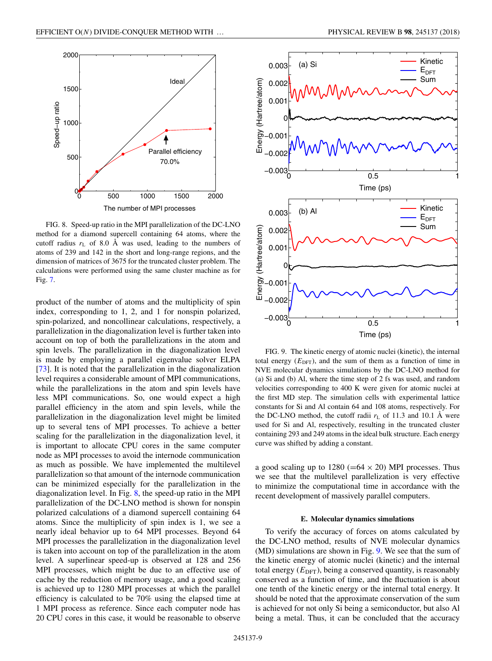<span id="page-8-0"></span>

FIG. 8. Speed-up ratio in the MPI parallelization of the DC-LNO method for a diamond supercell containing 64 atoms, where the cutoff radius  $r<sub>L</sub>$  of 8.0 Å was used, leading to the numbers of atoms of 239 and 142 in the short and long-range regions, and the dimension of matrices of 3675 for the truncated cluster problem. The calculations were performed using the same cluster machine as for Fig. [7.](#page-7-0)

product of the number of atoms and the multiplicity of spin index, corresponding to 1, 2, and 1 for nonspin polarized, spin-polarized, and noncollinear calculations, respectively, a parallelization in the diagonalization level is further taken into account on top of both the parallelizations in the atom and spin levels. The parallelization in the diagonalization level is made by employing a parallel eigenvalue solver ELPA [\[73\]](#page-12-0). It is noted that the parallelization in the diagonalization level requires a considerable amount of MPI communications, while the parallelizations in the atom and spin levels have less MPI communications. So, one would expect a high parallel efficiency in the atom and spin levels, while the parallelization in the diagonalization level might be limited up to several tens of MPI processes. To achieve a better scaling for the parallelization in the diagonalization level, it is important to allocate CPU cores in the same computer node as MPI processes to avoid the internode communication as much as possible. We have implemented the multilevel parallelization so that amount of the internode communication can be minimized especially for the parallelization in the diagonalization level. In Fig. 8, the speed-up ratio in the MPI parallelization of the DC-LNO method is shown for nonspin polarized calculations of a diamond supercell containing 64 atoms. Since the multiplicity of spin index is 1, we see a nearly ideal behavior up to 64 MPI processes. Beyond 64 MPI processes the parallelization in the diagonalization level is taken into account on top of the parallelization in the atom level. A superlinear speed-up is observed at 128 and 256 MPI processes, which might be due to an effective use of cache by the reduction of memory usage, and a good scaling is achieved up to 1280 MPI processes at which the parallel efficiency is calculated to be 70% using the elapsed time at 1 MPI process as reference. Since each computer node has 20 CPU cores in this case, it would be reasonable to observe



FIG. 9. The kinetic energy of atomic nuclei (kinetic), the internal total energy  $(E<sub>DFT</sub>)$ , and the sum of them as a function of time in NVE molecular dynamics simulations by the DC-LNO method for (a) Si and (b) Al, where the time step of 2 fs was used, and random velocities corresponding to 400 K were given for atomic nuclei at the first MD step. The simulation cells with experimental lattice constants for Si and Al contain 64 and 108 atoms, respectively. For the DC-LNO method, the cutoff radii  $r<sub>L</sub>$  of 11.3 and 10.1 Å were used for Si and Al, respectively, resulting in the truncated cluster containing 293 and 249 atoms in the ideal bulk structure. Each energy curve was shifted by adding a constant.

a good scaling up to  $1280 (=64 \times 20)$  MPI processes. Thus we see that the multilevel parallelization is very effective to minimize the computational time in accordance with the recent development of massively parallel computers.

#### **E. Molecular dynamics simulations**

To verify the accuracy of forces on atoms calculated by the DC-LNO method, results of NVE molecular dynamics (MD) simulations are shown in Fig. 9. We see that the sum of the kinetic energy of atomic nuclei (kinetic) and the internal total energy  $(E<sub>DET</sub>)$ , being a conserved quantity, is reasonably conserved as a function of time, and the fluctuation is about one tenth of the kinetic energy or the internal total energy. It should be noted that the approximate conservation of the sum is achieved for not only Si being a semiconductor, but also Al being a metal. Thus, it can be concluded that the accuracy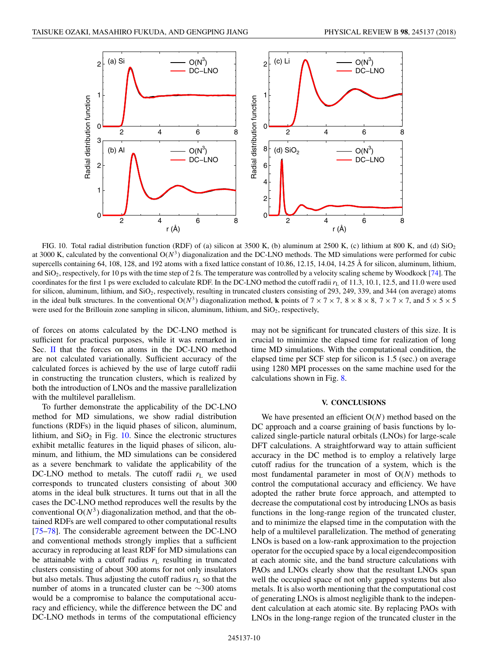<span id="page-9-0"></span>

FIG. 10. Total radial distribution function (RDF) of (a) silicon at 3500 K, (b) aluminum at 2500 K, (c) lithium at 800 K, and (d)  $SiO<sub>2</sub>$ at 3000 K, calculated by the conventional  $O(N^3)$  diagonalization and the DC-LNO methods. The MD simulations were performed for cubic supercells containing 64, 108, 128, and 192 atoms with a fixed lattice constant of 10.86, 12.15, 14.04, 14.25 Å for silicon, aluminum, lithium, and SiO<sub>2</sub>, respectively, for 10 ps with the time step of 2 fs. The temperature was controlled by a velocity scaling scheme by Woodkock [\[74\]](#page-12-0). The coordinates for the first 1 ps were excluded to calculate RDF. In the DC-LNO method the cutoff radii  $r<sub>L</sub>$  of 11.3, 10.1, 12.5, and 11.0 were used for silicon, aluminum, lithium, and SiO<sub>2</sub>, respectively, resulting in truncated clusters consisting of 293, 249, 339, and 344 (on average) atoms in the ideal bulk structures. In the conventional  $O(N^3)$  diagonalization method, **k** points of  $7 \times 7 \times 7$ ,  $8 \times 8 \times 8$ ,  $7 \times 7 \times 7$ , and  $5 \times 5 \times 5$ were used for the Brillouin zone sampling in silicon, aluminum, lithium, and  $SiO<sub>2</sub>$ , respectively,

of forces on atoms calculated by the DC-LNO method is sufficient for practical purposes, while it was remarked in Sec. [II](#page-1-0) that the forces on atoms in the DC-LNO method are not calculated variationally. Sufficient accuracy of the calculated forces is achieved by the use of large cutoff radii in constructing the truncation clusters, which is realized by both the introduction of LNOs and the massive parallelization with the multilevel parallelism.

To further demonstrate the applicability of the DC-LNO method for MD simulations, we show radial distribution functions (RDFs) in the liquid phases of silicon, aluminum, lithium, and  $SiO<sub>2</sub>$  in Fig. 10. Since the electronic structures exhibit metallic features in the liquid phases of silicon, aluminum, and lithium, the MD simulations can be considered as a severe benchmark to validate the applicability of the DC-LNO method to metals. The cutoff radii  $r<sub>L</sub>$  we used corresponds to truncated clusters consisting of about 300 atoms in the ideal bulk structures. It turns out that in all the cases the DC-LNO method reproduces well the results by the conventional  $O(N^3)$  diagonalization method, and that the obtained RDFs are well compared to other computational results [\[75–78\]](#page-13-0). The considerable agreement between the DC-LNO and conventional methods strongly implies that a sufficient accuracy in reproducing at least RDF for MD simulations can be attainable with a cutoff radius  $r<sub>L</sub>$  resulting in truncated clusters consisting of about 300 atoms for not only insulators but also metals. Thus adjusting the cutoff radius  $r<sub>L</sub>$  so that the number of atoms in a truncated cluster can be ∼300 atoms would be a compromise to balance the computational accuracy and efficiency, while the difference between the DC and DC-LNO methods in terms of the computational efficiency may not be significant for truncated clusters of this size. It is crucial to minimize the elapsed time for realization of long time MD simulations. With the computational condition, the elapsed time per SCF step for silicon is 1.5 (sec.) on average using 1280 MPI processes on the same machine used for the calculations shown in Fig. [8.](#page-8-0)

## **V. CONCLUSIONS**

We have presented an efficient  $O(N)$  method based on the DC approach and a coarse graining of basis functions by localized single-particle natural orbitals (LNOs) for large-scale DFT calculations. A straightforward way to attain sufficient accuracy in the DC method is to employ a relatively large cutoff radius for the truncation of a system, which is the most fundamental parameter in most of O(*N*) methods to control the computational accuracy and efficiency. We have adopted the rather brute force approach, and attempted to decrease the computational cost by introducing LNOs as basis functions in the long-range region of the truncated cluster, and to minimize the elapsed time in the computation with the help of a multilevel parallelization. The method of generating LNOs is based on a low-rank approximation to the projection operator for the occupied space by a local eigendecomposition at each atomic site, and the band structure calculations with PAOs and LNOs clearly show that the resultant LNOs span well the occupied space of not only gapped systems but also metals. It is also worth mentioning that the computational cost of generating LNOs is almost negligible thank to the independent calculation at each atomic site. By replacing PAOs with LNOs in the long-range region of the truncated cluster in the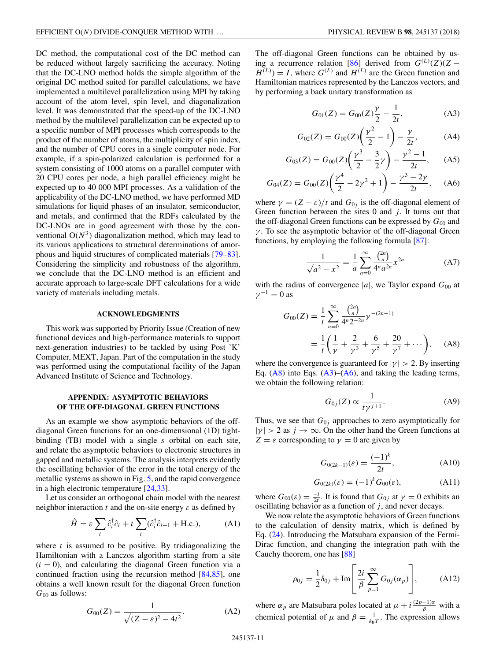<span id="page-10-0"></span>DC method, the computational cost of the DC method can be reduced without largely sacrificing the accuracy. Noting that the DC-LNO method holds the simple algorithm of the original DC method suited for parallel calculations, we have implemented a multilevel parallelization using MPI by taking account of the atom level, spin level, and diagonalization level. It was demonstrated that the speed-up of the DC-LNO method by the multilevel parallelization can be expected up to a specific number of MPI processes which corresponds to the product of the number of atoms, the multiplicity of spin index, and the number of CPU cores in a single computer node. For example, if a spin-polarized calculation is performed for a system consisting of 1000 atoms on a parallel computer with 20 CPU cores per node, a high parallel efficiency might be expected up to 40 000 MPI processes. As a validation of the applicability of the DC-LNO method, we have performed MD simulations for liquid phases of an insulator, semiconductor, and metals, and confirmed that the RDFs calculated by the DC-LNOs are in good agreement with those by the conventional  $O(N^3)$  diagonalization method, which may lead to its various applications to structural determinations of amorphous and liquid structures of complicated materials [\[79–83\]](#page-13-0). Considering the simplicity and robustness of the algorithm, we conclude that the DC-LNO method is an efficient and accurate approach to large-scale DFT calculations for a wide variety of materials including metals.

#### **ACKNOWLEDGMENTS**

This work was supported by Priority Issue (Creation of new functional devices and high-performance materials to support next-generation industries) to be tackled by using Post 'K' Computer, MEXT, Japan. Part of the computation in the study was performed using the computational facility of the Japan Advanced Institute of Science and Technology.

## **APPENDIX: ASYMPTOTIC BEHAVIORS OF THE OFF-DIAGONAL GREEN FUNCTIONS**

As an example we show asymptotic behaviors of the offdiagonal Green functions for an one-dimensional (1D) tightbinding (TB) model with a single *s* orbital on each site, and relate the asymptotic behaviors to electronic structures in gapped and metallic systems. The analysis interprets evidently the oscillating behavior of the error in the total energy of the metallic systems as shown in Fig. [5,](#page-6-0) and the rapid convergence in a high electronic temperature [\[24,](#page-11-0)[33\]](#page-12-0).

Let us consider an orthogonal chain model with the nearest neighbor interaction  $t$  and the on-site energy  $\varepsilon$  as defined by

$$
\hat{H} = \varepsilon \sum_{i} \hat{c}_{i}^{\dagger} \hat{c}_{i} + t \sum_{i} (\hat{c}_{i}^{\dagger} \hat{c}_{i+1} + \text{H.c.}), \tag{A1}
$$

where *t* is assumed to be positive. By tridiagonalizing the Hamiltonian with a Lanczos algorithm starting from a site  $(i = 0)$ , and calculating the diagonal Green function via a continued fraction using the recursion method [\[84,85\]](#page-13-0), one obtains a well known result for the diagonal Green function  $G_{00}$  as follows:

$$
G_{00}(Z) = \frac{1}{\sqrt{(Z - \varepsilon)^2 - 4t^2}}.\tag{A2}
$$

The off-diagonal Green functions can be obtained by us-ing a recurrence relation [\[86\]](#page-13-0) derived from  $G^{(L)}(Z)(Z H^{(L)}$ ) = *I*, where  $G^{(L)}$  and  $H^{(L)}$  are the Green function and Hamiltonian matrices represented by the Lanczos vectors, and by performing a back unitary transformation as

$$
G_{01}(Z) = G_{00}(Z)\frac{\gamma}{2} - \frac{1}{2t},
$$
 (A3)

$$
G_{02}(Z) = G_{00}(Z) \left(\frac{\gamma^2}{2} - 1\right) - \frac{\gamma}{2t}, \tag{A4}
$$

$$
G_{03}(Z) = G_{00}(Z) \left(\frac{\gamma^3}{2} - \frac{3}{2}\gamma\right) - \frac{\gamma^2 - 1}{2t}, \quad (A5)
$$

$$
G_{04}(Z) = G_{00}(Z) \left( \frac{\gamma^4}{2} - 2\gamma^2 + 1 \right) - \frac{\gamma^3 - 2\gamma}{2t}, \quad (A6)
$$

where  $\gamma = (Z - \varepsilon)/t$  and  $G_{0j}$  is the off-diagonal element of Green function between the sites  $0$  and  $j$ . It turns out that the off-diagonal Green functions can be expressed by  $G_{00}$  and *γ* . To see the asymptotic behavior of the off-diagonal Green functions, by employing the following formula [\[87\]](#page-13-0):

$$
\frac{1}{\sqrt{a^2 - x^2}} = \frac{1}{a} \sum_{n=0}^{\infty} \frac{\binom{2n}{n}}{4^n a^{2n}} x^{2n}
$$
 (A7)

with the radius of convergence  $|a|$ , we Taylor expand  $G_{00}$  at  $\gamma^{-1} = 0$  as

$$
G_{00}(Z) = \frac{1}{t} \sum_{n=0}^{\infty} \frac{\binom{2n}{n}}{4^n 2^{-2n}} \gamma^{-(2n+1)}
$$
  
=  $\frac{1}{t} \left( \frac{1}{\gamma} + \frac{2}{\gamma^3} + \frac{6}{\gamma^5} + \frac{20}{\gamma^7} + \cdots \right),$  (A8)

where the convergence is guaranteed for  $|\gamma| > 2$ . By inserting Eq.  $(A8)$  into Eqs.  $(A3)$ – $(A6)$ , and taking the leading terms, we obtain the following relation:

$$
G_{0j}(Z) \propto \frac{1}{t\gamma^{j+1}}.\tag{A9}
$$

Thus, we see that *G*0*<sup>j</sup>* approaches to zero asymptotically for  $|\gamma| > 2$  as  $j \to \infty$ . On the other hand the Green functions at *Z* = *ε* corresponding to  $γ$  = 0 are given by

$$
G_{0(2k-1)}(\varepsilon) = \frac{(-1)^k}{2t}, \tag{A10}
$$

$$
G_{0(2k)}(\varepsilon) = (-1)^k G_{00}(\varepsilon), \tag{A11}
$$

where  $G_{00}(\varepsilon) = \frac{-i}{2t}$ . It is found that  $G_{0j}$  at  $\gamma = 0$  exhibits an oscillating behavior as a function of *j* , and never decays.

We now relate the asymptotic behaviors of Green functions to the calculation of density matrix, which is defined by Eq. [\(24\)](#page-3-0). Introducing the Matsubara expansion of the Fermi-Dirac function, and changing the integration path with the Cauchy theorem, one has [\[88\]](#page-13-0)

$$
\rho_{0j} = \frac{1}{2}\delta_{0j} + \text{Im}\left[\frac{2i}{\beta}\sum_{p=1}^{\infty}G_{0j}(\alpha_p)\right],\tag{A12}
$$

where  $\alpha_p$  are Matsubara poles located at  $\mu + i \frac{(2p-1)\pi}{\beta}$  with a chemical potential of  $\mu$  and  $\beta = \frac{1}{k_B T}$ . The expression allows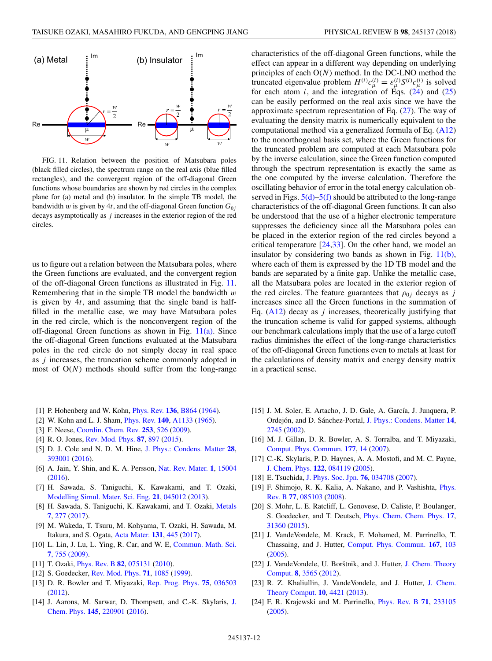<span id="page-11-0"></span>

FIG. 11. Relation between the position of Matsubara poles (black filled circles), the spectrum range on the real axis (blue filled rectangles), and the convergent region of the off-diagonal Green functions whose boundaries are shown by red circles in the complex plane for (a) metal and (b) insulator. In the simple TB model, the bandwidth *w* is given by 4*t*, and the off-diagonal Green function  $G_{0j}$ decays asymptotically as *j* increases in the exterior region of the red circles.

us to figure out a relation between the Matsubara poles, where the Green functions are evaluated, and the convergent region of the off-diagonal Green functions as illustrated in Fig. 11. Remembering that in the simple TB model the bandwidth *w* is given by 4*t*, and assuming that the single band is halffilled in the metallic case, we may have Matsubara poles in the red circle, which is the nonconvergent region of the off-diagonal Green functions as shown in Fig. 11(a). Since the off-diagonal Green functions evaluated at the Matsubara poles in the red circle do not simply decay in real space as *j* increases, the truncation scheme commonly adopted in most of  $O(N)$  methods should suffer from the long-range

characteristics of the off-diagonal Green functions, while the effect can appear in a different way depending on underlying principles of each O(*N*) method. In the DC-LNO method the truncated eigenvalue problem  $H^{(i)}c_{\mu}^{(i)} = \varepsilon_{\mu}^{(i)}S^{(i)}c_{\mu}^{(i)}$  is solved for each atom  $i$ , and the integration of Eqs.  $(24)$  and  $(25)$ can be easily performed on the real axis since we have the approximate spectrum representation of Eq. [\(27\)](#page-4-0). The way of evaluating the density matrix is numerically equivalent to the computational method via a generalized formula of Eq. [\(A12\)](#page-10-0) to the nonorthogonal basis set, where the Green functions for the truncated problem are computed at each Matsubara pole by the inverse calculation, since the Green function computed through the spectrum representation is exactly the same as the one computed by the inverse calculation. Therefore the oscillating behavior of error in the total energy calculation observed in Figs.  $5(d)$ – $5(f)$  should be attributed to the long-range characteristics of the off-diagonal Green functions. It can also be understood that the use of a higher electronic temperature suppresses the deficiency since all the Matsubara poles can be placed in the exterior region of the red circles beyond a critical temperature  $[24,33]$  $[24,33]$ . On the other hand, we model an insulator by considering two bands as shown in Fig. 11(b), where each of them is expressed by the 1D TB model and the bands are separated by a finite gap. Unlike the metallic case, all the Matsubara poles are located in the exterior region of the red circles. The feature guarantees that  $\rho_{0j}$  decays as *j* increases since all the Green functions in the summation of Eq. [\(A12\)](#page-10-0) decay as *j* increases, theoretically justifying that the truncation scheme is valid for gapped systems, although our benchmark calculations imply that the use of a large cutoff radius diminishes the effect of the long-range characteristics of the off-diagonal Green functions even to metals at least for the calculations of density matrix and energy density matrix in a practical sense.

- [1] P. Hohenberg and W. Kohn, [Phys. Rev.](https://doi.org/10.1103/PhysRev.136.B864) **[136](https://doi.org/10.1103/PhysRev.136.B864)**, [B864](https://doi.org/10.1103/PhysRev.136.B864) [\(1964\)](https://doi.org/10.1103/PhysRev.136.B864).
- [2] W. Kohn and L. J. Sham, [Phys. Rev.](https://doi.org/10.1103/PhysRev.140.A1133) **[140](https://doi.org/10.1103/PhysRev.140.A1133)**, [A1133](https://doi.org/10.1103/PhysRev.140.A1133) [\(1965\)](https://doi.org/10.1103/PhysRev.140.A1133).
- [3] F. Neese, [Coordin. Chem. Rev.](https://doi.org/10.1016/j.ccr.2008.05.014) **[253](https://doi.org/10.1016/j.ccr.2008.05.014)**, [526](https://doi.org/10.1016/j.ccr.2008.05.014) [\(2009\)](https://doi.org/10.1016/j.ccr.2008.05.014).
- [4] R. O. Jones, [Rev. Mod. Phys.](https://doi.org/10.1103/RevModPhys.87.897) **[87](https://doi.org/10.1103/RevModPhys.87.897)**, [897](https://doi.org/10.1103/RevModPhys.87.897) [\(2015\)](https://doi.org/10.1103/RevModPhys.87.897).
- [5] D. J. Cole and N. D. M. Hine, [J. Phys.: Condens. Matter](https://doi.org/10.1088/0953-8984/28/39/393001) **[28](https://doi.org/10.1088/0953-8984/28/39/393001)**, [393001](https://doi.org/10.1088/0953-8984/28/39/393001) [\(2016\)](https://doi.org/10.1088/0953-8984/28/39/393001).
- [6] A. Jain, Y. Shin, and K. A. Persson, [Nat. Rev. Mater.](https://doi.org/10.1038/natrevmats.2015.4) **[1](https://doi.org/10.1038/natrevmats.2015.4)**, [15004](https://doi.org/10.1038/natrevmats.2015.4) [\(2016\)](https://doi.org/10.1038/natrevmats.2015.4).
- [7] H. Sawada, S. Taniguchi, K. Kawakami, and T. Ozaki, [Modelling Simul. Mater. Sci. Eng.](https://doi.org/10.1088/0965-0393/21/4/045012) **[21](https://doi.org/10.1088/0965-0393/21/4/045012)**, [045012](https://doi.org/10.1088/0965-0393/21/4/045012) [\(2013\)](https://doi.org/10.1088/0965-0393/21/4/045012).
- [8] H. Sawada, S. Taniguchi, K. Kawakami, and T. Ozaki, [Metals](https://doi.org/10.3390/met7070277) **[7](https://doi.org/10.3390/met7070277)**, [277](https://doi.org/10.3390/met7070277) [\(2017\)](https://doi.org/10.3390/met7070277).
- [9] M. Wakeda, T. Tsuru, M. Kohyama, T. Ozaki, H. Sawada, M. Itakura, and S. Ogata, [Acta Mater.](https://doi.org/10.1016/j.actamat.2017.04.017) **[131](https://doi.org/10.1016/j.actamat.2017.04.017)**, [445](https://doi.org/10.1016/j.actamat.2017.04.017) [\(2017\)](https://doi.org/10.1016/j.actamat.2017.04.017).
- [10] [L. Lin, J. Lu, L. Ying, R. Car, and W. E,](https://projecteuclid.org/euclid.cms/1256562822) Commun. Math. Sci. **7**, 755 (2009).
- [11] T. Ozaki, [Phys. Rev. B](https://doi.org/10.1103/PhysRevB.82.075131) **[82](https://doi.org/10.1103/PhysRevB.82.075131)**, [075131](https://doi.org/10.1103/PhysRevB.82.075131) [\(2010\)](https://doi.org/10.1103/PhysRevB.82.075131).
- [12] S. Goedecker, [Rev. Mod. Phys.](https://doi.org/10.1103/RevModPhys.71.1085) **[71](https://doi.org/10.1103/RevModPhys.71.1085)**, [1085](https://doi.org/10.1103/RevModPhys.71.1085) [\(1999\)](https://doi.org/10.1103/RevModPhys.71.1085).
- [13] D. R. Bowler and T. Miyazaki, [Rep. Prog. Phys.](https://doi.org/10.1088/0034-4885/75/3/036503) **[75](https://doi.org/10.1088/0034-4885/75/3/036503)**, [036503](https://doi.org/10.1088/0034-4885/75/3/036503) [\(2012\)](https://doi.org/10.1088/0034-4885/75/3/036503).
- [14] [J. Aarons, M. Sarwar, D. Thompsett, and C.-K. Skylaris,](https://doi.org/10.1063/1.4972007) J. Chem. Phys. **[145](https://doi.org/10.1063/1.4972007)**, [220901](https://doi.org/10.1063/1.4972007) [\(2016\)](https://doi.org/10.1063/1.4972007).
- [15] J. M. Soler, E. Artacho, J. D. Gale, A. García, J. Junquera, P. Ordejón, and D. Sánchez-Portal, [J. Phys.: Condens. Matter](https://doi.org/10.1088/0953-8984/14/11/302) **[14](https://doi.org/10.1088/0953-8984/14/11/302)**, [2745](https://doi.org/10.1088/0953-8984/14/11/302) [\(2002\)](https://doi.org/10.1088/0953-8984/14/11/302).
- [16] M. J. Gillan, D. R. Bowler, A. S. Torralba, and T. Miyazaki, [Comput. Phys. Commun.](https://doi.org/10.1016/j.cpc.2007.02.075) **[177](https://doi.org/10.1016/j.cpc.2007.02.075)**, [14](https://doi.org/10.1016/j.cpc.2007.02.075) [\(2007\)](https://doi.org/10.1016/j.cpc.2007.02.075).
- [17] C.-K. Skylaris, P. D. Haynes, A. A. Mostofi, and M. C. Payne, [J. Chem. Phys.](https://doi.org/10.1063/1.1839852) **[122](https://doi.org/10.1063/1.1839852)**, [084119](https://doi.org/10.1063/1.1839852) [\(2005\)](https://doi.org/10.1063/1.1839852).
- [18] E. Tsuchida, [J. Phys. Soc. Jpn.](https://doi.org/10.1143/JPSJ.76.034708) **[76](https://doi.org/10.1143/JPSJ.76.034708)**, [034708](https://doi.org/10.1143/JPSJ.76.034708) [\(2007\)](https://doi.org/10.1143/JPSJ.76.034708).
- [19] [F. Shimojo, R. K. Kalia, A. Nakano, and P. Vashishta,](https://doi.org/10.1103/PhysRevB.77.085103) Phys. Rev. B **[77](https://doi.org/10.1103/PhysRevB.77.085103)**, [085103](https://doi.org/10.1103/PhysRevB.77.085103) [\(2008\)](https://doi.org/10.1103/PhysRevB.77.085103).
- [20] S. Mohr, L. E. Ratcliff, L. Genovese, D. Caliste, P. Boulanger, S. Goedecker, and T. Deutsch, [Phys. Chem. Chem. Phys.](https://doi.org/10.1039/C5CP00437C) **[17](https://doi.org/10.1039/C5CP00437C)**, [31360](https://doi.org/10.1039/C5CP00437C) [\(2015\)](https://doi.org/10.1039/C5CP00437C).
- [21] J. VandeVondele, M. Krack, F. Mohamed, M. Parrinello, T. Chassaing, and J. Hutter, [Comput. Phys. Commun.](https://doi.org/10.1016/j.cpc.2004.12.014) **[167](https://doi.org/10.1016/j.cpc.2004.12.014)**, [103](https://doi.org/10.1016/j.cpc.2004.12.014) [\(2005\)](https://doi.org/10.1016/j.cpc.2004.12.014).
- [22] [J. VandeVondele, U. Borštnik, and J. Hutter,](https://doi.org/10.1021/ct200897x) J. Chem. Theory Comput. **[8](https://doi.org/10.1021/ct200897x)**, [3565](https://doi.org/10.1021/ct200897x) [\(2012\)](https://doi.org/10.1021/ct200897x).
- [23] [R. Z. Khaliullin, J. VandeVondele, and J. Hutter,](https://doi.org/10.1021/ct400595k) J. Chem. Theory Comput. **[10](https://doi.org/10.1021/ct400595k)**, [4421](https://doi.org/10.1021/ct400595k) [\(2013\)](https://doi.org/10.1021/ct400595k).
- [24] F. R. Krajewski and M. Parrinello, [Phys. Rev. B](https://doi.org/10.1103/PhysRevB.71.233105) **[71](https://doi.org/10.1103/PhysRevB.71.233105)**, [233105](https://doi.org/10.1103/PhysRevB.71.233105) [\(2005\)](https://doi.org/10.1103/PhysRevB.71.233105).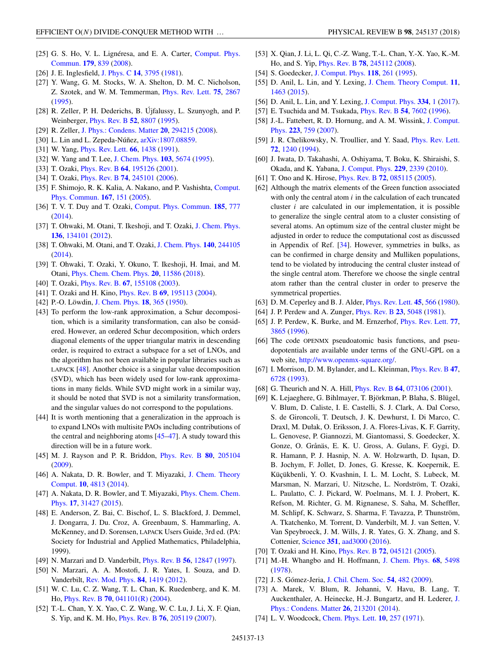- <span id="page-12-0"></span>[25] [G. S. Ho, V. L. Lignéresa, and E. A. Carter,](https://doi.org/10.1016/j.cpc.2008.07.002) Comput. Phys. Commun. **[179](https://doi.org/10.1016/j.cpc.2008.07.002)**, [839](https://doi.org/10.1016/j.cpc.2008.07.002) [\(2008\)](https://doi.org/10.1016/j.cpc.2008.07.002).
- [26] J. E. Inglesfield, [J. Phys. C](https://doi.org/10.1088/0022-3719/14/26/015) **[14](https://doi.org/10.1088/0022-3719/14/26/015)**, [3795](https://doi.org/10.1088/0022-3719/14/26/015) [\(1981\)](https://doi.org/10.1088/0022-3719/14/26/015).
- [27] Y. Wang, G. M. Stocks, W. A. Shelton, D. M. C. Nicholson, Z. Szotek, and W. M. Temmerman, [Phys. Rev. Lett.](https://doi.org/10.1103/PhysRevLett.75.2867) **[75](https://doi.org/10.1103/PhysRevLett.75.2867)**, [2867](https://doi.org/10.1103/PhysRevLett.75.2867) [\(1995\)](https://doi.org/10.1103/PhysRevLett.75.2867).
- [28] R. Zeller, P. H. Dederichs, B. Újfalussy, L. Szunyogh, and P. Weinberger, [Phys. Rev. B](https://doi.org/10.1103/PhysRevB.52.8807) **[52](https://doi.org/10.1103/PhysRevB.52.8807)**, [8807](https://doi.org/10.1103/PhysRevB.52.8807) [\(1995\)](https://doi.org/10.1103/PhysRevB.52.8807).
- [29] R. Zeller, [J. Phys.: Condens. Matter](https://doi.org/10.1088/0953-8984/20/29/294215) **[20](https://doi.org/10.1088/0953-8984/20/29/294215)**, [294215](https://doi.org/10.1088/0953-8984/20/29/294215) [\(2008\)](https://doi.org/10.1088/0953-8984/20/29/294215).
- [30] L. Lin and L. Zepeda-Núñez, [arXiv:1807.08859.](http://arxiv.org/abs/arXiv:1807.08859)
- [31] W. Yang, [Phys. Rev. Lett.](https://doi.org/10.1103/PhysRevLett.66.1438) **[66](https://doi.org/10.1103/PhysRevLett.66.1438)**, [1438](https://doi.org/10.1103/PhysRevLett.66.1438) [\(1991\)](https://doi.org/10.1103/PhysRevLett.66.1438).
- [32] W. Yang and T. Lee, [J. Chem. Phys.](https://doi.org/10.1063/1.470549) **[103](https://doi.org/10.1063/1.470549)**, [5674](https://doi.org/10.1063/1.470549) [\(1995\)](https://doi.org/10.1063/1.470549).
- [33] T. Ozaki, [Phys. Rev. B](https://doi.org/10.1103/PhysRevB.64.195126) **[64](https://doi.org/10.1103/PhysRevB.64.195126)**, [195126](https://doi.org/10.1103/PhysRevB.64.195126) [\(2001\)](https://doi.org/10.1103/PhysRevB.64.195126).
- [34] T. Ozaki, [Phys. Rev. B](https://doi.org/10.1103/PhysRevB.74.245101) **[74](https://doi.org/10.1103/PhysRevB.74.245101)**, [245101](https://doi.org/10.1103/PhysRevB.74.245101) [\(2006\)](https://doi.org/10.1103/PhysRevB.74.245101).
- [35] [F. Shimojo, R. K. Kalia, A. Nakano, and P. Vashishta,](https://doi.org/10.1016/j.cpc.2005.01.005) Comput. Phys. Commun. **[167](https://doi.org/10.1016/j.cpc.2005.01.005)**, [151](https://doi.org/10.1016/j.cpc.2005.01.005) [\(2005\)](https://doi.org/10.1016/j.cpc.2005.01.005).
- [36] T. V. T. Duy and T. Ozaki, [Comput. Phys. Commun.](https://doi.org/10.1016/j.cpc.2013.11.008) **[185](https://doi.org/10.1016/j.cpc.2013.11.008)**, [777](https://doi.org/10.1016/j.cpc.2013.11.008) [\(2014\)](https://doi.org/10.1016/j.cpc.2013.11.008).
- [37] T. Ohwaki, M. Otani, T. Ikeshoji, and T. Ozaki, [J. Chem. Phys.](https://doi.org/10.1063/1.3698583) **[136](https://doi.org/10.1063/1.3698583)**, [134101](https://doi.org/10.1063/1.3698583) [\(2012\)](https://doi.org/10.1063/1.3698583).
- [38] T. Ohwaki, M. Otani, and T. Ozaki, [J. Chem. Phys.](https://doi.org/10.1063/1.4884119) **[140](https://doi.org/10.1063/1.4884119)**, [244105](https://doi.org/10.1063/1.4884119) [\(2014\)](https://doi.org/10.1063/1.4884119).
- [39] T. Ohwaki, T. Ozaki, Y. Okuno, T. Ikeshoji, H. Imai, and M. Otani, [Phys. Chem. Chem. Phys.](https://doi.org/10.1039/C7CP08569A) **[20](https://doi.org/10.1039/C7CP08569A)**, [11586](https://doi.org/10.1039/C7CP08569A) [\(2018\)](https://doi.org/10.1039/C7CP08569A).
- [40] T. Ozaki, [Phys. Rev. B.](https://doi.org/10.1103/PhysRevB.67.155108) **[67](https://doi.org/10.1103/PhysRevB.67.155108)**, [155108](https://doi.org/10.1103/PhysRevB.67.155108) [\(2003\)](https://doi.org/10.1103/PhysRevB.67.155108).
- [41] T. Ozaki and H. Kino, [Phys. Rev. B](https://doi.org/10.1103/PhysRevB.69.195113) **[69](https://doi.org/10.1103/PhysRevB.69.195113)**, [195113](https://doi.org/10.1103/PhysRevB.69.195113) [\(2004\)](https://doi.org/10.1103/PhysRevB.69.195113).
- [42] P.-O. Löwdin, [J. Chem. Phys.](https://doi.org/10.1063/1.1747632) **[18](https://doi.org/10.1063/1.1747632)**, [365](https://doi.org/10.1063/1.1747632) [\(1950\)](https://doi.org/10.1063/1.1747632).
- [43] To perform the low-rank approximation, a Schur decomposition, which is a similarity transformation, can also be considered. However, an ordered Schur decomposition, which orders diagonal elements of the upper triangular matrix in descending order, is required to extract a subspace for a set of LNOs, and the algorithm has not been available in popular libraries such as LAPACK [48]. Another choice is a singular value decomposition (SVD), which has been widely used for low-rank approximations in many fields. While SVD might work in a similar way, it should be noted that SVD is not a similarity transformation, and the singular values do not correspond to the populations.
- [44] It is worth mentioning that a generalization in the approach is to expand LNOs with multisite PAOs including contributions of the central and neighboring atoms [45–47]. A study toward this direction will be in a future work.
- [45] M. J. Rayson and P. R. Briddon, [Phys. Rev. B](https://doi.org/10.1103/PhysRevB.80.205104) **[80](https://doi.org/10.1103/PhysRevB.80.205104)**, [205104](https://doi.org/10.1103/PhysRevB.80.205104) [\(2009\)](https://doi.org/10.1103/PhysRevB.80.205104).
- [46] [A. Nakata, D. R. Bowler, and T. Miyazaki,](https://doi.org/10.1021/ct5004934) J. Chem. Theory Comput. **[10](https://doi.org/10.1021/ct5004934)**, [4813](https://doi.org/10.1021/ct5004934) [\(2014\)](https://doi.org/10.1021/ct5004934).
- [47] [A. Nakata, D. R. Bowler, and T. Miyazaki,](https://doi.org/10.1039/C5CP00934K) *Phys. Chem. Chem.* Phys. **[17](https://doi.org/10.1039/C5CP00934K)**, [31427](https://doi.org/10.1039/C5CP00934K) [\(2015\)](https://doi.org/10.1039/C5CP00934K).
- [48] E. Anderson, Z. Bai, C. Bischof, L. S. Blackford, J. Demmel, J. Dongarra, J. Du. Croz, A. Greenbaum, S. Hammarling, A. McKenney, and D. Sorensen, LAPACK Users Guide, 3rd ed. (PA: Society for Industrial and Applied Mathematics, Philadelphia, 1999).
- [49] N. Marzari and D. Vanderbilt, [Phys. Rev. B](https://doi.org/10.1103/PhysRevB.56.12847) **[56](https://doi.org/10.1103/PhysRevB.56.12847)**, [12847](https://doi.org/10.1103/PhysRevB.56.12847) [\(1997\)](https://doi.org/10.1103/PhysRevB.56.12847).
- [50] N. Marzari, A. A. Mostofi, J. R. Yates, I. Souza, and D. Vanderbilt, [Rev. Mod. Phys.](https://doi.org/10.1103/RevModPhys.84.1419) **[84](https://doi.org/10.1103/RevModPhys.84.1419)**, [1419](https://doi.org/10.1103/RevModPhys.84.1419) [\(2012\)](https://doi.org/10.1103/RevModPhys.84.1419).
- [51] W. C. Lu, C. Z. Wang, T. L. Chan, K. Ruedenberg, and K. M. Ho, [Phys. Rev. B](https://doi.org/10.1103/PhysRevB.70.041101) **[70](https://doi.org/10.1103/PhysRevB.70.041101)**, [041101\(R\)](https://doi.org/10.1103/PhysRevB.70.041101) [\(2004\)](https://doi.org/10.1103/PhysRevB.70.041101).
- [52] T.-L. Chan, Y. X. Yao, C. Z. Wang, W. C. Lu, J. Li, X. F. Qian, S. Yip, and K. M. Ho, [Phys. Rev. B](https://doi.org/10.1103/PhysRevB.76.205119) **[76](https://doi.org/10.1103/PhysRevB.76.205119)**, [205119](https://doi.org/10.1103/PhysRevB.76.205119) [\(2007\)](https://doi.org/10.1103/PhysRevB.76.205119).
- [53] X. Qian, J. Li, L. Qi, C.-Z. Wang, T.-L. Chan, Y.-X. Yao, K.-M. Ho, and S. Yip, [Phys. Rev. B](https://doi.org/10.1103/PhysRevB.78.245112) **[78](https://doi.org/10.1103/PhysRevB.78.245112)**, [245112](https://doi.org/10.1103/PhysRevB.78.245112) [\(2008\)](https://doi.org/10.1103/PhysRevB.78.245112).
- [54] S. Goedecker, [J. Comput. Phys.](https://doi.org/10.1006/jcph.1995.1097) **[118](https://doi.org/10.1006/jcph.1995.1097)**, [261](https://doi.org/10.1006/jcph.1995.1097) [\(1995\)](https://doi.org/10.1006/jcph.1995.1097).
- [55] D. Anil, L. Lin, and Y. Lexing, [J. Chem. Theory Comput.](https://doi.org/10.1021/ct500985f) **[11](https://doi.org/10.1021/ct500985f)**, [1463](https://doi.org/10.1021/ct500985f) [\(2015\)](https://doi.org/10.1021/ct500985f).
- [56] D. Anil, L. Lin, and Y. Lexing, [J. Comput. Phys.](https://doi.org/10.1016/j.jcp.2016.12.053) **[334](https://doi.org/10.1016/j.jcp.2016.12.053)**, [1](https://doi.org/10.1016/j.jcp.2016.12.053) [\(2017\)](https://doi.org/10.1016/j.jcp.2016.12.053).
- [57] E. Tsuchida and M. Tsukada, [Phys. Rev. B](https://doi.org/10.1103/PhysRevB.54.7602) **[54](https://doi.org/10.1103/PhysRevB.54.7602)**, [7602](https://doi.org/10.1103/PhysRevB.54.7602) [\(1996\)](https://doi.org/10.1103/PhysRevB.54.7602).
- [58] [J.-L. Fattebert, R. D. Hornung, and A. M. Wissink,](https://doi.org/10.1016/j.jcp.2006.10.013) J. Comput. Phys. **[223](https://doi.org/10.1016/j.jcp.2006.10.013)**, [759](https://doi.org/10.1016/j.jcp.2006.10.013) [\(2007\)](https://doi.org/10.1016/j.jcp.2006.10.013).
- [59] J. R. Chelikowsky, N. Troullier, and Y. Saad, [Phys. Rev. Lett.](https://doi.org/10.1103/PhysRevLett.72.1240) **[72](https://doi.org/10.1103/PhysRevLett.72.1240)**, [1240](https://doi.org/10.1103/PhysRevLett.72.1240) [\(1994\)](https://doi.org/10.1103/PhysRevLett.72.1240).
- [60] J. Iwata, D. Takahashi, A. Oshiyama, T. Boku, K. Shiraishi, S. Okada, and K. Yabana, [J. Comput. Phys.](https://doi.org/10.1016/j.jcp.2009.11.038) **[229](https://doi.org/10.1016/j.jcp.2009.11.038)**, [2339](https://doi.org/10.1016/j.jcp.2009.11.038) [\(2010\)](https://doi.org/10.1016/j.jcp.2009.11.038).
- [61] T. Ono and K. Hirose, [Phys. Rev. B](https://doi.org/10.1103/PhysRevB.72.085115) **[72](https://doi.org/10.1103/PhysRevB.72.085115)**, [085115](https://doi.org/10.1103/PhysRevB.72.085115) [\(2005\)](https://doi.org/10.1103/PhysRevB.72.085115).
- [62] Although the matrix elements of the Green function associated with only the central atom *i* in the calculation of each truncated cluster *i* are calculated in our implementation, it is possible to generalize the single central atom to a cluster consisting of several atoms. An optimum size of the central cluster might be adjusted in order to reduce the computational cost as discussed in Appendix of Ref. [34]. However, symmetries in bulks, as can be confirmed in charge density and Mulliken populations, tend to be violated by introducing the central cluster instead of the single central atom. Therefore we choose the single central atom rather than the central cluster in order to preserve the symmetrical properties.
- [63] D. M. Ceperley and B. J. Alder, [Phys. Rev. Lett.](https://doi.org/10.1103/PhysRevLett.45.566) **[45](https://doi.org/10.1103/PhysRevLett.45.566)**, [566](https://doi.org/10.1103/PhysRevLett.45.566) [\(1980\)](https://doi.org/10.1103/PhysRevLett.45.566).
- [64] J. P. Perdew and A. Zunger, [Phys. Rev. B](https://doi.org/10.1103/PhysRevB.23.5048) **[23](https://doi.org/10.1103/PhysRevB.23.5048)**, [5048](https://doi.org/10.1103/PhysRevB.23.5048) [\(1981\)](https://doi.org/10.1103/PhysRevB.23.5048).
- [65] J. P. Perdew, K. Burke, and M. Ernzerhof, [Phys. Rev. Lett.](https://doi.org/10.1103/PhysRevLett.77.3865) **[77](https://doi.org/10.1103/PhysRevLett.77.3865)**, [3865](https://doi.org/10.1103/PhysRevLett.77.3865) [\(1996\)](https://doi.org/10.1103/PhysRevLett.77.3865).
- [66] The code OPENMX pseudoatomic basis functions, and pseudopotentials are available under terms of the GNU-GPL on a web site, [http://www.openmx-square.org/.](http://www.openmx-square.org/)
- [67] I. Morrison, D. M. Bylander, and L. Kleinman, [Phys. Rev. B](https://doi.org/10.1103/PhysRevB.47.6728) **[47](https://doi.org/10.1103/PhysRevB.47.6728)**, [6728](https://doi.org/10.1103/PhysRevB.47.6728) [\(1993\)](https://doi.org/10.1103/PhysRevB.47.6728).
- [68] G. Theurich and N. A. Hill, [Phys. Rev. B](https://doi.org/10.1103/PhysRevB.64.073106) **[64](https://doi.org/10.1103/PhysRevB.64.073106)**, [073106](https://doi.org/10.1103/PhysRevB.64.073106) [\(2001\)](https://doi.org/10.1103/PhysRevB.64.073106).
- [69] K. Lejaeghere, G. Bihlmayer, T. Björkman, P. Blaha, S. Blügel, V. Blum, D. Caliste, I. E. Castelli, S. J. Clark, A. Dal Corso, S. de Gironcoli, T. Deutsch, J. K. Dewhurst, I. Di Marco, C. Draxl, M. Dułak, O. Eriksson, J. A. Flores-Livas, K. F. Garrity, L. Genovese, P. Giannozzi, M. Giantomassi, S. Goedecker, X. Gonze, O. Grånäs, E. K. U. Gross, A. Gulans, F. Gygi, D. R. Hamann, P. J. Hasnip, N. A. W. Holzwarth, D. Iųsan, D. B. Jochym, F. Jollet, D. Jones, G. Kresse, K. Koepernik, E. Küçükbenli, Y. O. Kvashnin, I. L. M. Locht, S. Lubeck, M. Marsman, N. Marzari, U. Nitzsche, L. Nordström, T. Ozaki, L. Paulatto, C. J. Pickard, W. Poelmans, M. I. J. Probert, K. Refson, M. Richter, G. M. Rignanese, S. Saha, M. Scheffler, M. Schlipf, K. Schwarz, S. Sharma, F. Tavazza, P. Thunström, A. Tkatchenko, M. Torrent, D. Vanderbilt, M. J. van Setten, V. Van Speybroeck, J. M. Wills, J. R. Yates, G. X. Zhang, and S. Cottenier, [Science](https://doi.org/10.1126/science.aad3000) **[351](https://doi.org/10.1126/science.aad3000)**, [aad3000](https://doi.org/10.1126/science.aad3000) [\(2016\)](https://doi.org/10.1126/science.aad3000).
- [70] T. Ozaki and H. Kino, [Phys. Rev. B](https://doi.org/10.1103/PhysRevB.72.045121) **[72](https://doi.org/10.1103/PhysRevB.72.045121)**, [045121](https://doi.org/10.1103/PhysRevB.72.045121) [\(2005\)](https://doi.org/10.1103/PhysRevB.72.045121).
- [71] M.-H. Whangbo and H. Hoffmann, [J. Chem. Phys.](https://doi.org/10.1063/1.435677) **[68](https://doi.org/10.1063/1.435677)**, [5498](https://doi.org/10.1063/1.435677) [\(1978\)](https://doi.org/10.1063/1.435677).
- [72] J. S. Gómez-Jeria, [J. Chil. Chem. Soc.](https://doi.org/10.4067/S0717-97072009000400036) **[54](https://doi.org/10.4067/S0717-97072009000400036)**, [482](https://doi.org/10.4067/S0717-97072009000400036) [\(2009\)](https://doi.org/10.4067/S0717-97072009000400036).
- [73] A. Marek, V. Blum, R. Johanni, V. Havu, B. Lang, T. [Auckenthaler, A. Heinecke, H.-J. Bungartz, and H. Lederer,](https://doi.org/10.1088/0953-8984/26/21/213201) J. Phys.: Condens. Matter **[26](https://doi.org/10.1088/0953-8984/26/21/213201)**, [213201](https://doi.org/10.1088/0953-8984/26/21/213201) [\(2014\)](https://doi.org/10.1088/0953-8984/26/21/213201).
- [74] L. V. Woodcock, [Chem. Phys. Lett.](https://doi.org/10.1016/0009-2614(71)80281-6) **[10](https://doi.org/10.1016/0009-2614(71)80281-6)**, [257](https://doi.org/10.1016/0009-2614(71)80281-6) [\(1971\)](https://doi.org/10.1016/0009-2614(71)80281-6).